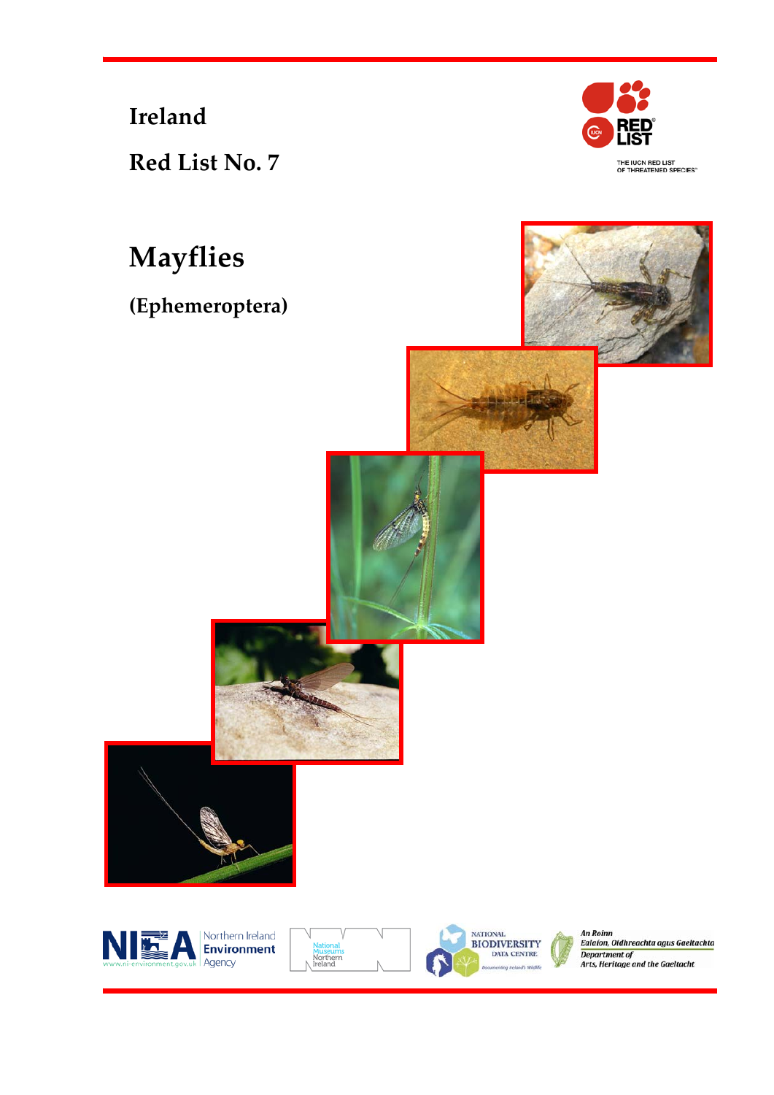**Ireland**

**Red List No. 7**



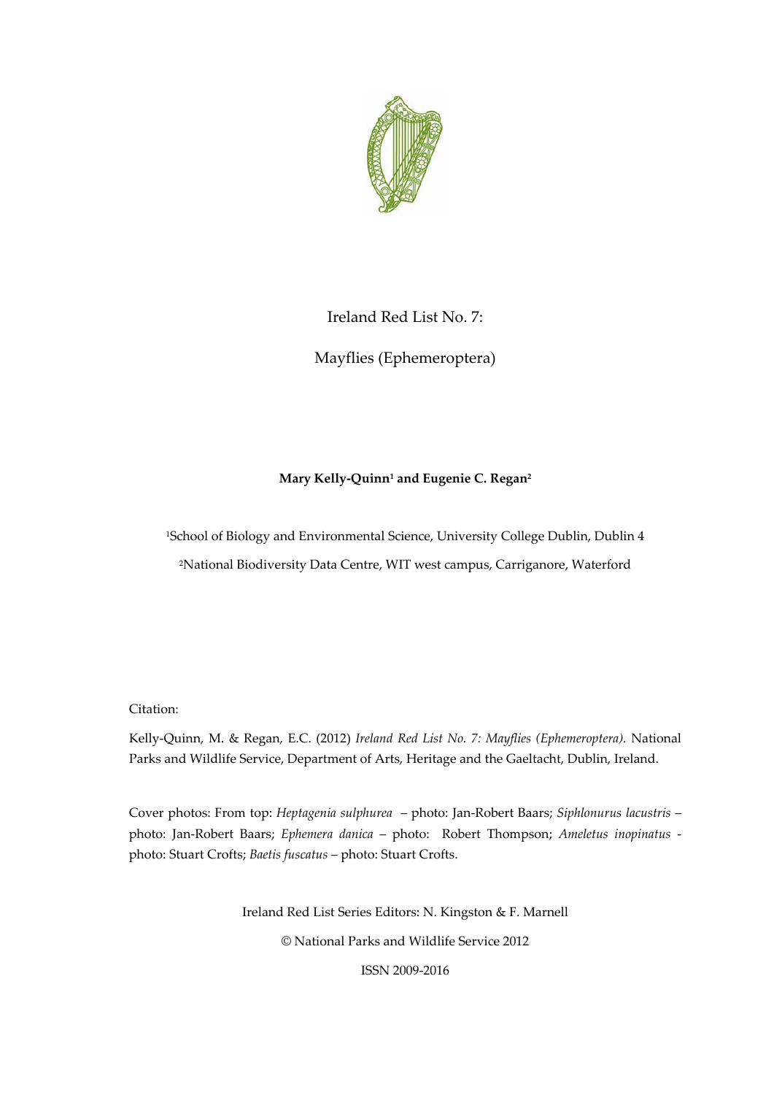

# Ireland Red List No. 7:

Mayflies (Ephemeroptera)

# **Mary Kelly‐Quinn1 and Eugenie C. Regan2**

1School of Biology and Environmental Science, University College Dublin, Dublin 4 2National Biodiversity Data Centre, WIT west campus, Carriganore, Waterford

Citation:

Kelly‐Quinn, M. & Regan, E.C. (2012) *Ireland Red List No. 7: Mayflies (Ephemeroptera).* National Parks and Wildlife Service, Department of Arts, Heritage and the Gaeltacht, Dublin, Ireland.

Cover photos: From top: *Heptagenia sulphurea* – photo: Jan‐Robert Baars; *Siphlonurus lacustris* – photo: Jan‐Robert Baars; *Ephemera danica* – photo: Robert Thompson; *Ameletus inopinatus* ‐ photo: Stuart Crofts; *Baetis fuscatus* – photo: Stuart Crofts.

> Ireland Red List Series Editors: N. Kingston & F. Marnell © National Parks and Wildlife Service 2012 ISSN 2009‐2016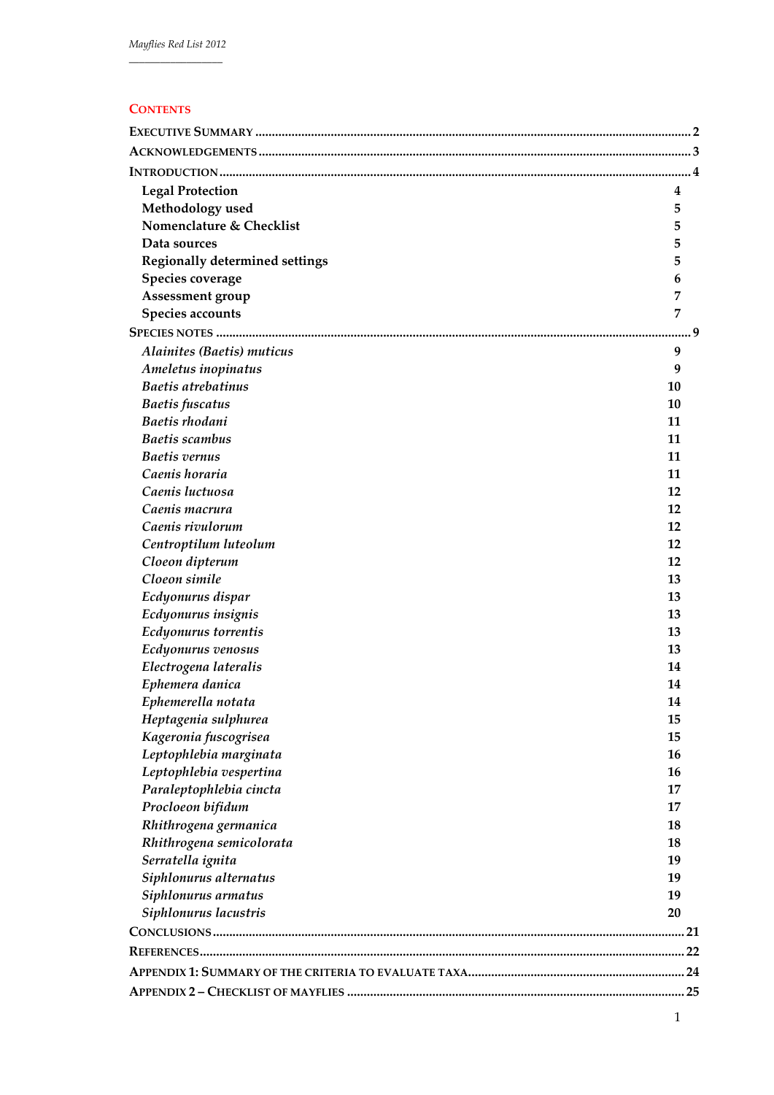| ۰, | × |  | × | × |
|----|---|--|---|---|
|    |   |  |   |   |

| <b>Legal Protection</b>                    | 4        |
|--------------------------------------------|----------|
| Methodology used                           | 5        |
| Nomenclature & Checklist                   | 5        |
| Data sources                               | 5        |
| <b>Regionally determined settings</b>      | 5        |
| Species coverage                           | 6        |
| Assessment group                           | 7        |
| Species accounts                           | 7        |
|                                            |          |
| Alainites (Baetis) muticus                 | 9        |
| Ameletus inopinatus                        | 9        |
| Baetis atrebatinus                         | 10       |
| <b>Baetis</b> fuscatus                     | 10       |
| Baetis rhodani                             | 11       |
| <b>Baetis scambus</b>                      | 11       |
| <b>Baetis</b> vernus                       | 11       |
| Caenis horaria                             | 11       |
| Caenis luctuosa                            | 12       |
| Caenis macrura                             | 12       |
| Caenis rivulorum                           | 12       |
| Centroptilum luteolum                      | 12       |
| Cloeon dipterum                            | 12       |
| Cloeon simile                              | 13       |
| Ecdyonurus dispar                          | 13       |
| Ecdyonurus insignis                        | 13       |
| Ecdyonurus torrentis                       | 13       |
|                                            | 13       |
| Ecdyonurus venosus                         | 14       |
| Electrogena lateralis<br>Ephemera danica   | 14       |
|                                            | 14       |
| Ephemerella notata<br>Heptagenia sulphurea | 15       |
| Kageronia fuscogrisea                      | 15       |
| Leptophlebia marginata                     | 16       |
| Leptophlebia vespertina                    | 16       |
| Paraleptophlebia cincta                    | 17       |
| Procloeon bifidum                          | 17       |
| Rhithrogena germanica                      | 18       |
| Rhithrogena semicolorata                   | 18       |
|                                            | 19       |
| Serratella ignita                          |          |
| Siphlonurus alternatus                     | 19<br>19 |
| Siphlonurus armatus                        | 20       |
| Siphlonurus lacustris                      |          |
|                                            |          |
|                                            |          |
|                                            |          |
|                                            |          |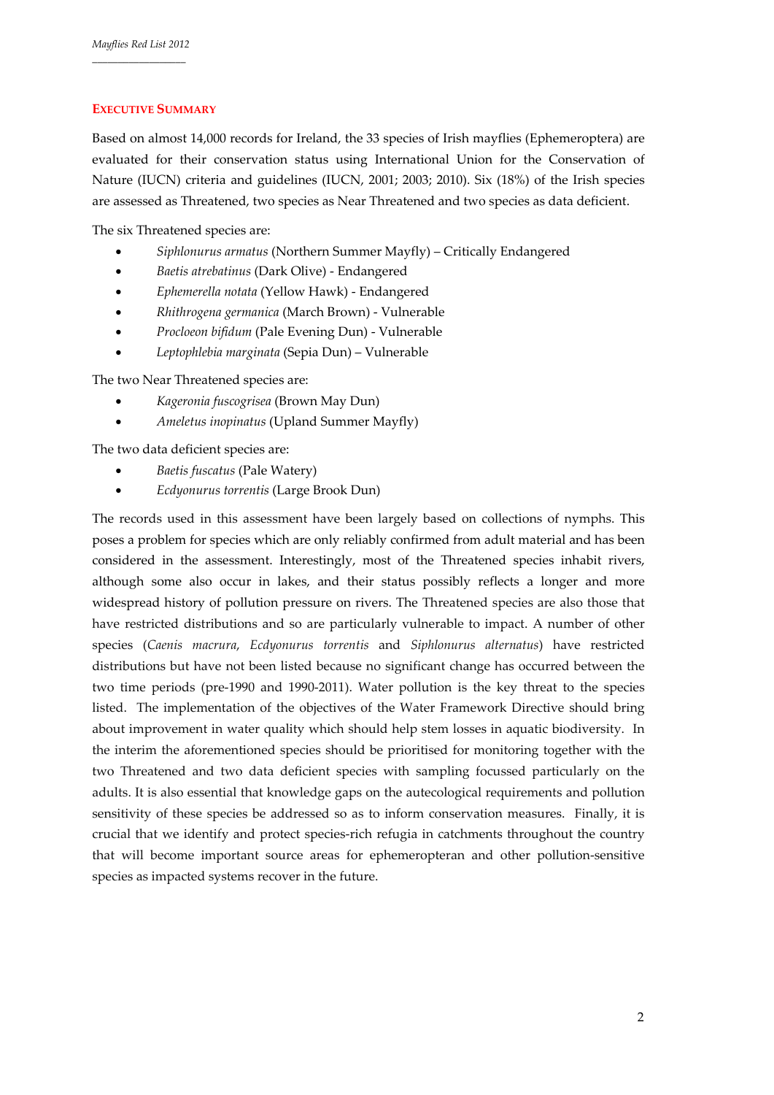# **EXECUTIVE SUMMARY**

Based on almost 14,000 records for Ireland, the 33 species of Irish mayflies (Ephemeroptera) are evaluated for their conservation status using International Union for the Conservation of Nature (IUCN) criteria and guidelines (IUCN, 2001; 2003; 2010). Six (18%) of the Irish species are assessed as Threatened, two species as Near Threatened and two species as data deficient.

The six Threatened species are:

- *Siphlonurus armatus* (Northern Summer Mayfly) Critically Endangered
- *Baetis atrebatinus* (Dark Olive) ‐ Endangered
- *Ephemerella notata* (Yellow Hawk) ‐ Endangered
- *Rhithrogena germanica* (March Brown) ‐ Vulnerable
- *Procloeon bifidum* (Pale Evening Dun) ‐ Vulnerable
- *Leptophlebia marginata* (Sepia Dun) Vulnerable

The two Near Threatened species are:

- *Kageronia fuscogrisea* (Brown May Dun)
- *Ameletus inopinatus* (Upland Summer Mayfly)

The two data deficient species are:

- *Baetis fuscatus* (Pale Watery)
- *Ecdyonurus torrentis* (Large Brook Dun)

The records used in this assessment have been largely based on collections of nymphs. This poses a problem for species which are only reliably confirmed from adult material and has been considered in the assessment. Interestingly, most of the Threatened species inhabit rivers, although some also occur in lakes, and their status possibly reflects a longer and more widespread history of pollution pressure on rivers. The Threatened species are also those that have restricted distributions and so are particularly vulnerable to impact. A number of other species (*Caenis macrura*, *Ecdyonurus torrentis* and *Siphlonurus alternatus*) have restricted distributions but have not been listed because no significant change has occurred between the two time periods (pre‐1990 and 1990‐2011). Water pollution is the key threat to the species listed. The implementation of the objectives of the Water Framework Directive should bring about improvement in water quality which should help stem losses in aquatic biodiversity. In the interim the aforementioned species should be prioritised for monitoring together with the two Threatened and two data deficient species with sampling focussed particularly on the adults. It is also essential that knowledge gaps on the autecological requirements and pollution sensitivity of these species be addressed so as to inform conservation measures. Finally, it is crucial that we identify and protect species‐rich refugia in catchments throughout the country that will become important source areas for ephemeropteran and other pollution-sensitive species as impacted systems recover in the future.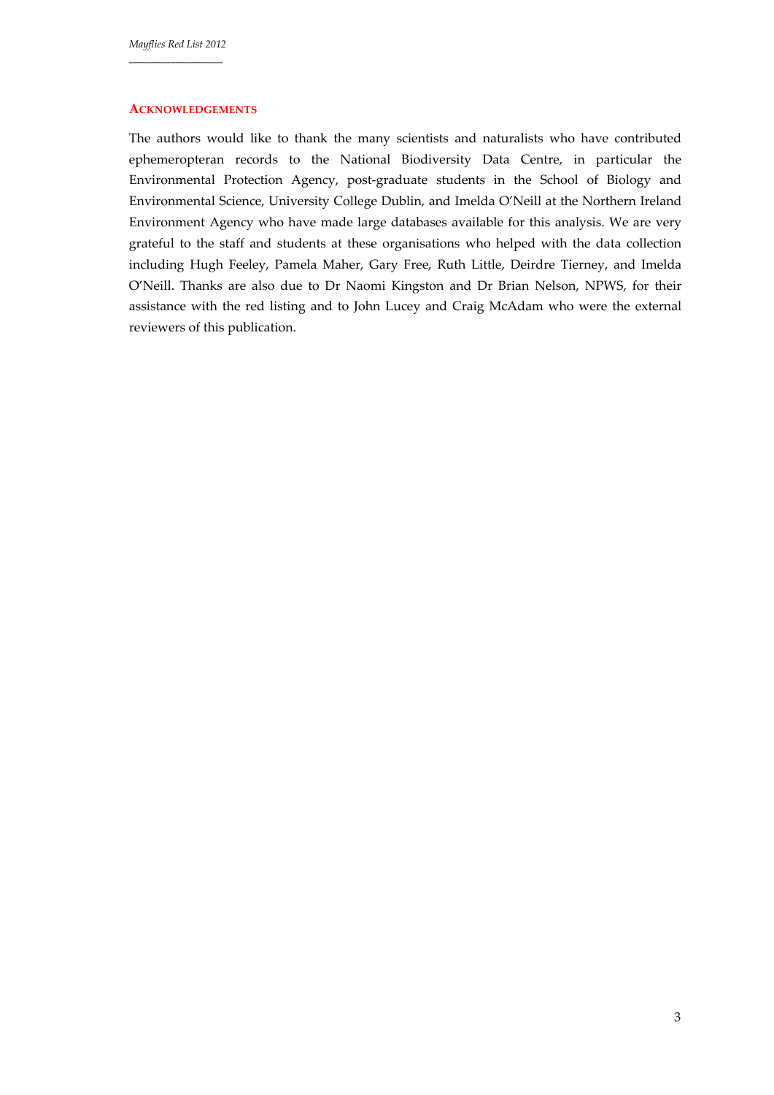#### **ACKNOWLEDGEMENTS**

The authors would like to thank the many scientists and naturalists who have contributed ephemeropteran records to the National Biodiversity Data Centre, in particular the Environmental Protection Agency, post‐graduate students in the School of Biology and Environmental Science, University College Dublin, and Imelda O'Neill at the Northern Ireland Environment Agency who have made large databases available for this analysis. We are very grateful to the staff and students at these organisations who helped with the data collection including Hugh Feeley, Pamela Maher, Gary Free, Ruth Little, Deirdre Tierney, and Imelda O'Neill. Thanks are also due to Dr Naomi Kingston and Dr Brian Nelson, NPWS, for their assistance with the red listing and to John Lucey and Craig McAdam who were the external reviewers of this publication.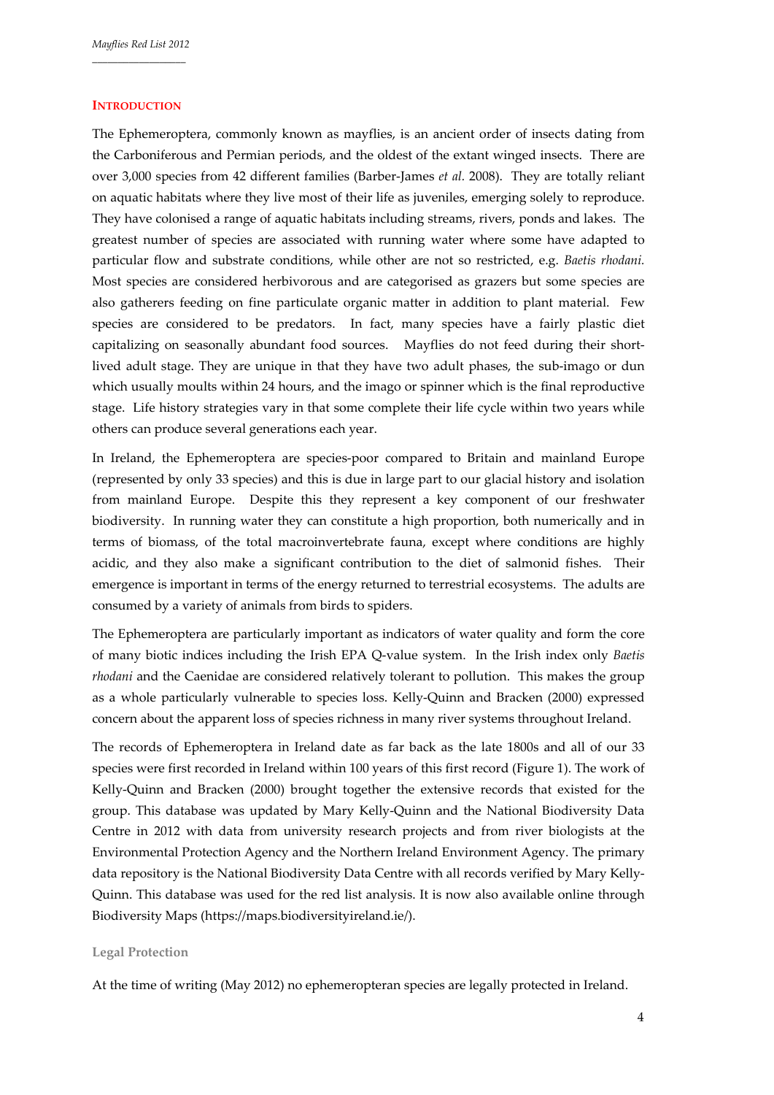### **INTRODUCTION**

The Ephemeroptera, commonly known as mayflies, is an ancient order of insects dating from the Carboniferous and Permian periods, and the oldest of the extant winged insects. There are over 3,000 species from 42 different families (Barber‐James *et al.* 2008). They are totally reliant on aquatic habitats where they live most of their life as juveniles, emerging solely to reproduce. They have colonised a range of aquatic habitats including streams, rivers, ponds and lakes. The greatest number of species are associated with running water where some have adapted to particular flow and substrate conditions, while other are not so restricted, e.g. *Baetis rhodani.*  Most species are considered herbivorous and are categorised as grazers but some species are also gatherers feeding on fine particulate organic matter in addition to plant material. Few species are considered to be predators. In fact, many species have a fairly plastic diet capitalizing on seasonally abundant food sources. Mayflies do not feed during their shortlived adult stage. They are unique in that they have two adult phases, the sub-imago or dun which usually moults within 24 hours, and the imago or spinner which is the final reproductive stage. Life history strategies vary in that some complete their life cycle within two years while others can produce several generations each year.

In Ireland, the Ephemeroptera are species‐poor compared to Britain and mainland Europe (represented by only 33 species) and this is due in large part to our glacial history and isolation from mainland Europe. Despite this they represent a key component of our freshwater biodiversity. In running water they can constitute a high proportion, both numerically and in terms of biomass, of the total macroinvertebrate fauna, except where conditions are highly acidic, and they also make a significant contribution to the diet of salmonid fishes. Their emergence is important in terms of the energy returned to terrestrial ecosystems. The adults are consumed by a variety of animals from birds to spiders.

The Ephemeroptera are particularly important as indicators of water quality and form the core of many biotic indices including the Irish EPA Q‐value system. In the Irish index only *Baetis rhodani* and the Caenidae are considered relatively tolerant to pollution. This makes the group as a whole particularly vulnerable to species loss. Kelly‐Quinn and Bracken (2000) expressed concern about the apparent loss of species richness in many river systems throughout Ireland.

The records of Ephemeroptera in Ireland date as far back as the late 1800s and all of our 33 species were first recorded in Ireland within 100 years of this first record (Figure 1). The work of Kelly‐Quinn and Bracken (2000) brought together the extensive records that existed for the group. This database was updated by Mary Kelly‐Quinn and the National Biodiversity Data Centre in 2012 with data from university research projects and from river biologists at the Environmental Protection Agency and the Northern Ireland Environment Agency. The primary data repository is the National Biodiversity Data Centre with all records verified by Mary Kelly‐ Quinn. This database was used for the red list analysis. It is now also available online through Biodiversity Maps (https://maps.biodiversityireland.ie/).

### **Legal Protection**

At the time of writing (May 2012) no ephemeropteran species are legally protected in Ireland.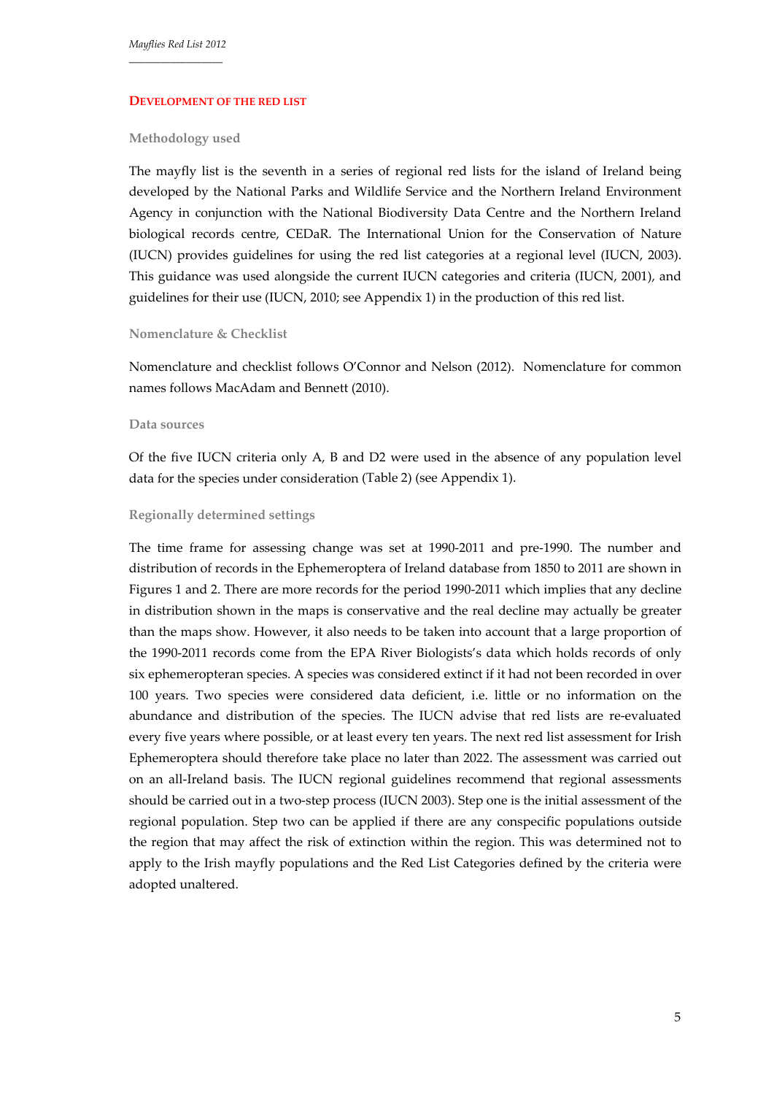#### **DEVELOPMENT OF THE RED LIST**

#### **Methodology used**

The mayfly list is the seventh in a series of regional red lists for the island of Ireland being developed by the National Parks and Wildlife Service and the Northern Ireland Environment Agency in conjunction with the National Biodiversity Data Centre and the Northern Ireland biological records centre, CEDaR. The International Union for the Conservation of Nature (IUCN) provides guidelines for using the red list categories at a regional level (IUCN, 2003). This guidance was used alongside the current IUCN categories and criteria (IUCN, 2001), and guidelines for their use (IUCN, 2010; see Appendix 1) in the production of this red list.

# **Nomenclature & Checklist**

Nomenclature and checklist follows O'Connor and Nelson (2012). Nomenclature for common names follows MacAdam and Bennett (2010).

### **Data sources**

Of the five IUCN criteria only A, B and D2 were used in the absence of any population level data for the species under consideration (Table 2) (see Appendix 1).

#### **Regionally determined settings**

The time frame for assessing change was set at 1990‐2011 and pre‐1990. The number and distribution of records in the Ephemeroptera of Ireland database from 1850 to 2011 are shown in Figures 1 and 2. There are more records for the period 1990‐2011 which implies that any decline in distribution shown in the maps is conservative and the real decline may actually be greater than the maps show. However, it also needs to be taken into account that a large proportion of the 1990‐2011 records come from the EPA River Biologists's data which holds records of only six ephemeropteran species. A species was considered extinct if it had not been recorded in over 100 years. Two species were considered data deficient, i.e. little or no information on the abundance and distribution of the species. The IUCN advise that red lists are re‐evaluated every five years where possible, or at least every ten years. The next red list assessment for Irish Ephemeroptera should therefore take place no later than 2022. The assessment was carried out on an all‐Ireland basis. The IUCN regional guidelines recommend that regional assessments should be carried out in a two‐step process (IUCN 2003). Step one is the initial assessment of the regional population. Step two can be applied if there are any conspecific populations outside the region that may affect the risk of extinction within the region. This was determined not to apply to the Irish mayfly populations and the Red List Categories defined by the criteria were adopted unaltered.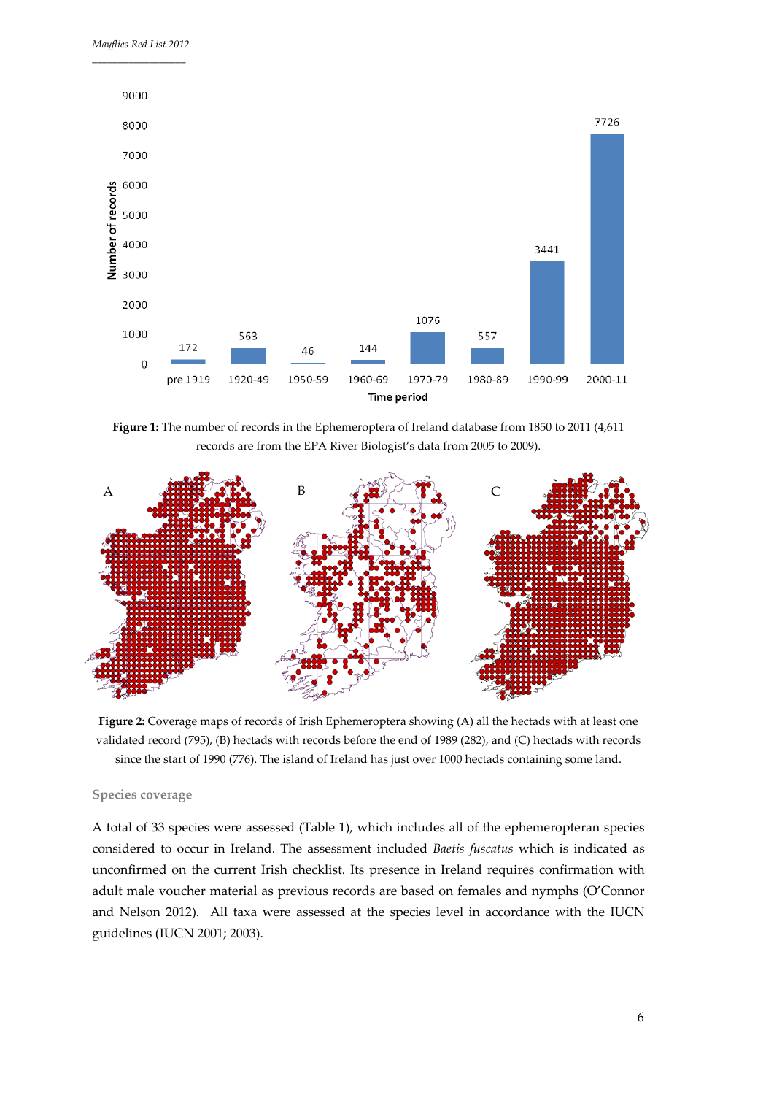

**Figure 1:** The number of records in the Ephemeroptera of Ireland database from 1850 to 2011 (4,611 records are from the EPA River Biologist's data from 2005 to 2009).



**Figure 2:** Coverage maps of records of Irish Ephemeroptera showing (A) all the hectads with at least one validated record (795), (B) hectads with records before the end of 1989 (282), and (C) hectads with records since the start of 1990 (776). The island of Ireland has just over 1000 hectads containing some land.

#### **Species coverage**

A total of 33 species were assessed (Table 1), which includes all of the ephemeropteran species considered to occur in Ireland. The assessment included *Baetis fuscatus* which is indicated as unconfirmed on the current Irish checklist. Its presence in Ireland requires confirmation with adult male voucher material as previous records are based on females and nymphs (O'Connor and Nelson 2012). All taxa were assessed at the species level in accordance with the IUCN guidelines (IUCN 2001; 2003).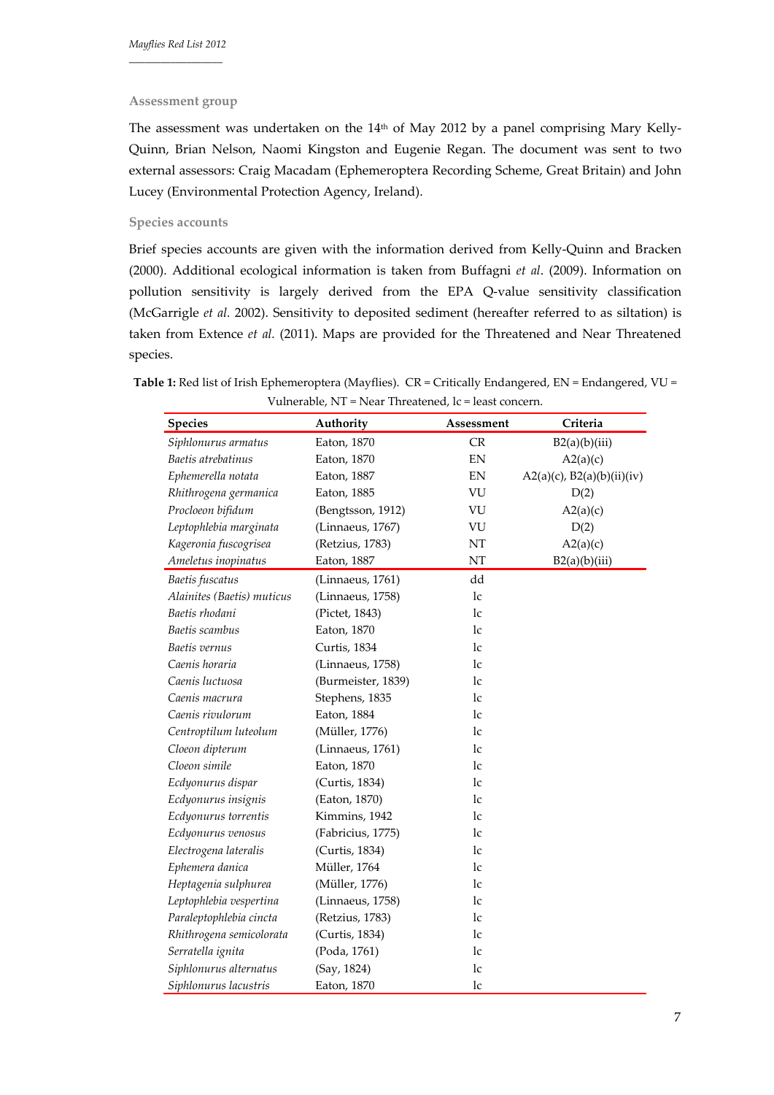#### **Assessment group**

The assessment was undertaken on the 14<sup>th</sup> of May 2012 by a panel comprising Mary Kelly-Quinn, Brian Nelson, Naomi Kingston and Eugenie Regan. The document was sent to two external assessors: Craig Macadam (Ephemeroptera Recording Scheme, Great Britain) and John Lucey (Environmental Protection Agency, Ireland).

# **Species accounts**

Brief species accounts are given with the information derived from Kelly‐Quinn and Bracken (2000). Additional ecological information is taken from Buffagni *et al*. (2009). Information on pollution sensitivity is largely derived from the EPA Q-value sensitivity classification (McGarrigle *et al.* 2002). Sensitivity to deposited sediment (hereafter referred to as siltation) is taken from Extence *et al.* (2011). Maps are provided for the Threatened and Near Threatened species.

| <b>Species</b>             | Authority          | Assessment                 | Criteria                        |
|----------------------------|--------------------|----------------------------|---------------------------------|
| Siphlonurus armatus        | Eaton, 1870        | CR                         | B2(a)(b)(iii)                   |
| Baetis atrebatinus         | Eaton, 1870        | EN                         | A2(a)(c)                        |
| Ephemerella notata         | Eaton, 1887        | $\mathop{\rm EN}\nolimits$ | $A2(a)(c)$ , $B2(a)(b)(ii)(iv)$ |
| Rhithrogena germanica      | Eaton, 1885        | VU                         | D(2)                            |
| Procloeon bifidum          | (Bengtsson, 1912)  | VU                         | A2(a)(c)                        |
| Leptophlebia marginata     | (Linnaeus, 1767)   | VU                         | D(2)                            |
| Kageronia fuscogrisea      | (Retzius, 1783)    | NT                         | A2(a)(c)                        |
| Ameletus inopinatus        | Eaton, 1887        | NT                         | B2(a)(b)(iii)                   |
| Baetis fuscatus            | (Linnaeus, 1761)   | dd                         |                                 |
| Alainites (Baetis) muticus | (Linnaeus, 1758)   | lc                         |                                 |
| Baetis rhodani             | (Pictet, 1843)     | 1c                         |                                 |
| Baetis scambus             | Eaton, 1870        | 1c                         |                                 |
| Baetis vernus              | Curtis, 1834       | 1c                         |                                 |
| Caenis horaria             | (Linnaeus, 1758)   | 1c                         |                                 |
| Caenis luctuosa            | (Burmeister, 1839) | lc                         |                                 |
| Caenis macrura             | Stephens, 1835     | lc                         |                                 |
| Caenis rivulorum           | Eaton, 1884        | 1c                         |                                 |
| Centroptilum luteolum      | (Müller, 1776)     | 1c                         |                                 |
| Cloeon dipterum            | (Linnaeus, 1761)   | 1c                         |                                 |
| Cloeon simile              | Eaton, 1870        | 1c                         |                                 |
| Ecdyonurus dispar          | (Curtis, 1834)     | lc                         |                                 |
| Ecdyonurus insignis        | (Eaton, 1870)      | 1c                         |                                 |
| Ecdyonurus torrentis       | Kimmins, 1942      | 1c                         |                                 |
| Ecdyonurus venosus         | (Fabricius, 1775)  | 1c                         |                                 |
| Electrogena lateralis      | (Curtis, 1834)     | 1c                         |                                 |
| Ephemera danica            | Müller, 1764       | lc                         |                                 |
| Heptagenia sulphurea       | (Müller, 1776)     | lc                         |                                 |
| Leptophlebia vespertina    | (Linnaeus, 1758)   | 1c                         |                                 |
| Paraleptophlebia cincta    | (Retzius, 1783)    | 1c                         |                                 |
| Rhithrogena semicolorata   | (Curtis, 1834)     | lc                         |                                 |
| Serratella ignita          | (Poda, 1761)       | lc                         |                                 |
| Siphlonurus alternatus     | (Say, 1824)        | lc                         |                                 |
| Siphlonurus lacustris      | Eaton, 1870        | lc                         |                                 |

**Table 1:** Red list of Irish Ephemeroptera (Mayflies). CR = Critically Endangered, EN = Endangered, VU = Vulnerable, NT = Near Threatened, lc = least concern.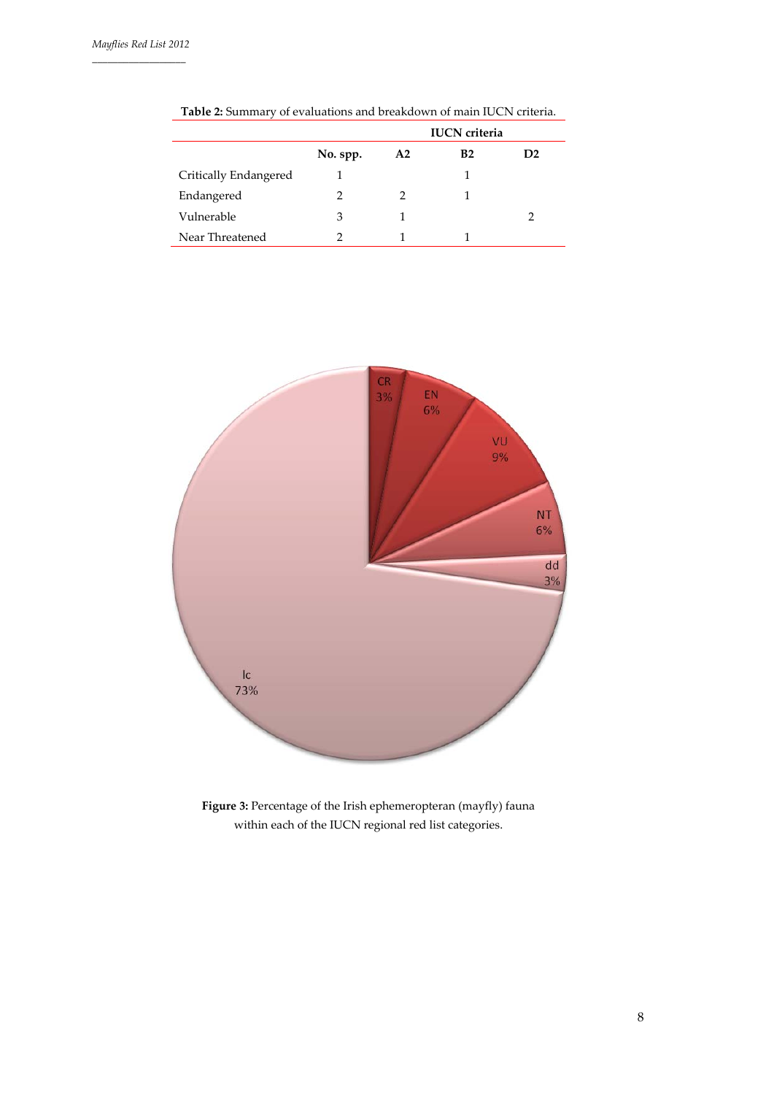|                       |          | <b>IUCN</b> criteria |    |                |  |
|-----------------------|----------|----------------------|----|----------------|--|
|                       | No. spp. | A2                   | B2 | D <sub>2</sub> |  |
| Critically Endangered |          |                      |    |                |  |
| Endangered            | 2        |                      |    |                |  |
| Vulnerable            | 3        |                      |    |                |  |
| Near Threatened       |          |                      |    |                |  |

**Table 2:** Summary of evaluations and breakdown of main IUCN criteria.



**Figure 3:** Percentage of the Irish ephemeropteran (mayfly) fauna within each of the IUCN regional red list categories.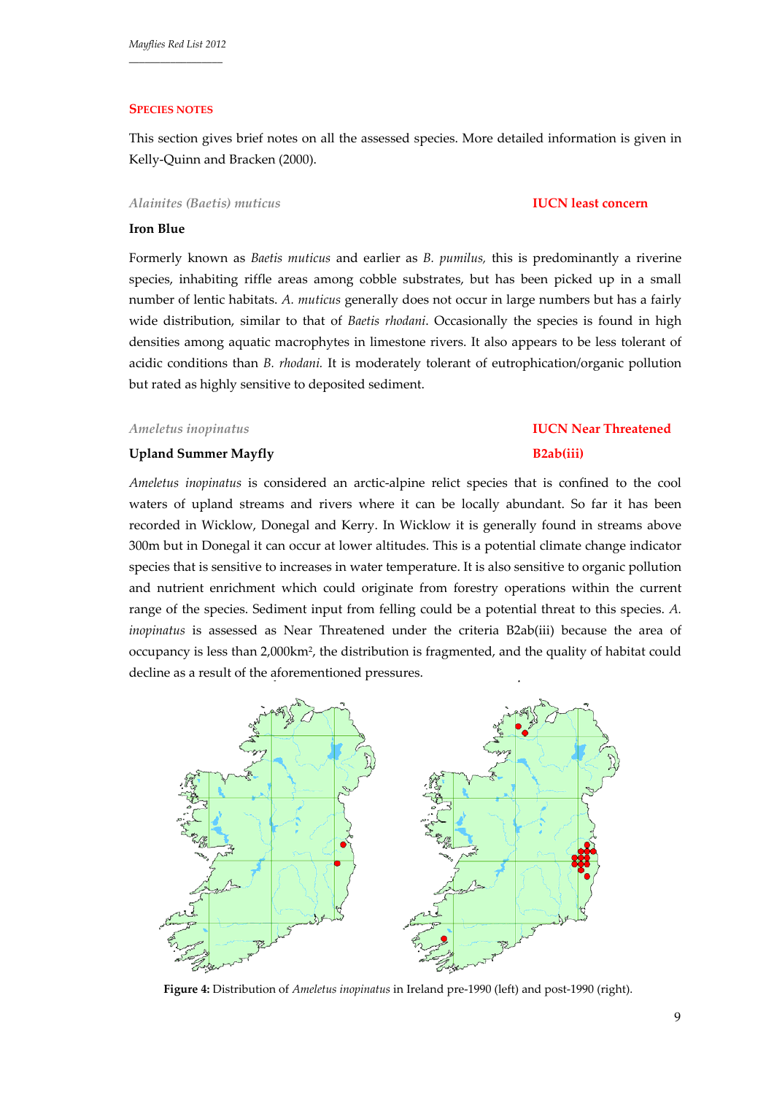### **SPECIES NOTES**

This section gives brief notes on all the assessed species. More detailed information is given in Kelly‐Quinn and Bracken (2000).

### *Alainites (Baetis) muticus* **IUCN least concern**

### **Iron Blue**

Formerly known as *Baetis muticus* and earlier as *B. pumilus,* this is predominantly a riverine species, inhabiting riffle areas among cobble substrates, but has been picked up in a small number of lentic habitats. *A. muticus* generally does not occur in large numbers but has a fairly wide distribution, similar to that of *Baetis rhodani*. Occasionally the species is found in high densities among aquatic macrophytes in limestone rivers. It also appears to be less tolerant of acidic conditions than *B. rhodani.* It is moderately tolerant of eutrophication/organic pollution but rated as highly sensitive to deposited sediment.

### *Ameletus inopinatus* **IUCN Near Threatened**

# **Upland Summer Mayfly B2ab(iii)**

*Ameletus inopinatus* is considered an arctic‐alpine relict species that is confined to the cool waters of upland streams and rivers where it can be locally abundant. So far it has been recorded in Wicklow, Donegal and Kerry. In Wicklow it is generally found in streams above 300m but in Donegal it can occur at lower altitudes. This is a potential climate change indicator species that is sensitive to increases in water temperature. It is also sensitive to organic pollution and nutrient enrichment which could originate from forestry operations within the current range of the species. Sediment input from felling could be a potential threat to this species. *A. inopinatus* is assessed as Near Threatened under the criteria B2ab(iii) because the area of occupancy is less than 2,000km2, the distribution is fragmented, and the quality of habitat could decline as a result of the aforementioned pressures.



**Figure 4:** Distribution of *Ameletus inopinatus* in Ireland pre‐1990 (left) and post‐1990 (right).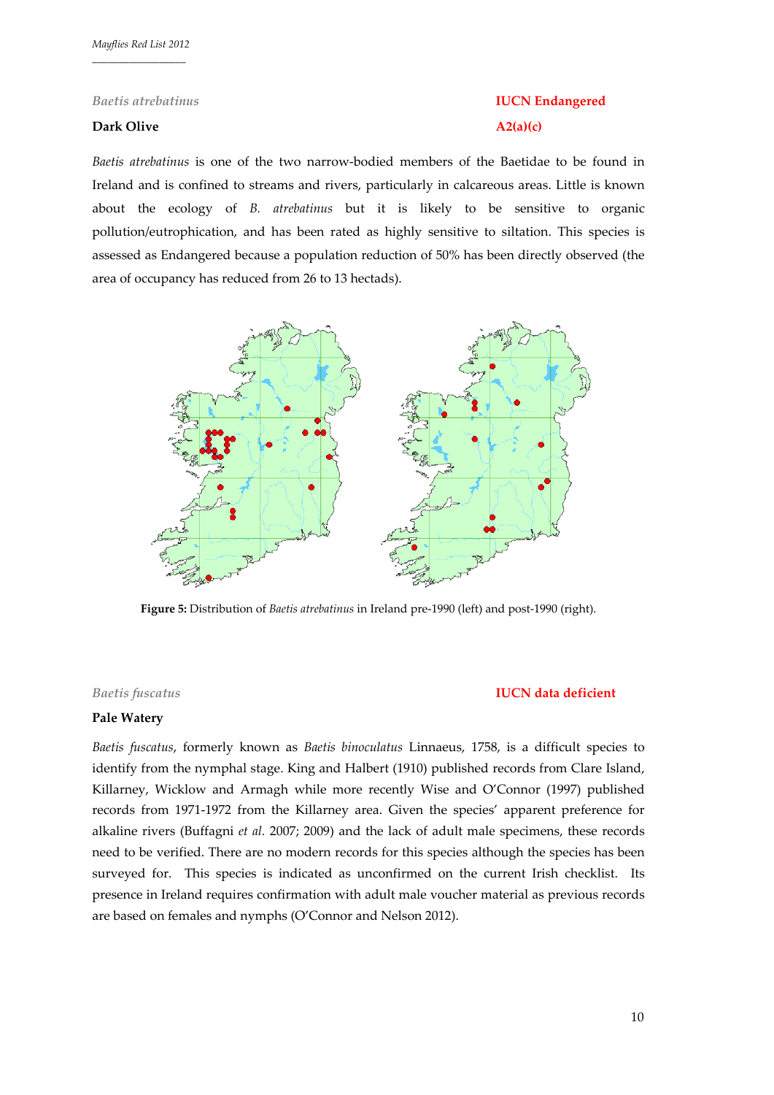# **Dark Olive A2(a)(c)**

# *Baetis atrebatinus* **IUCN Endangered**

*Baetis atrebatinus* is one of the two narrow‐bodied members of the Baetidae to be found in Ireland and is confined to streams and rivers, particularly in calcareous areas. Little is known about the ecology of *B. atrebatinus* but it is likely to be sensitive to organic pollution/eutrophication, and has been rated as highly sensitive to siltation. This species is assessed as Endangered because a population reduction of 50% has been directly observed (the area of occupancy has reduced from 26 to 13 hectads).



**Figure 5:** Distribution of *Baetis atrebatinus* in Ireland pre‐1990 (left) and post‐1990 (right).

# *Baetis fuscatus* **IUCN data deficient**

# **Pale Watery**

*Baetis fuscatus*, formerly known as *Baetis binoculatus* Linnaeus, 1758, is a difficult species to identify from the nymphal stage. King and Halbert (1910) published records from Clare Island, Killarney, Wicklow and Armagh while more recently Wise and O'Connor (1997) published records from 1971‐1972 from the Killarney area. Given the species' apparent preference for alkaline rivers (Buffagni *et al.* 2007; 2009) and the lack of adult male specimens, these records need to be verified. There are no modern records for this species although the species has been surveyed for. This species is indicated as unconfirmed on the current Irish checklist. Its presence in Ireland requires confirmation with adult male voucher material as previous records are based on females and nymphs (O'Connor and Nelson 2012).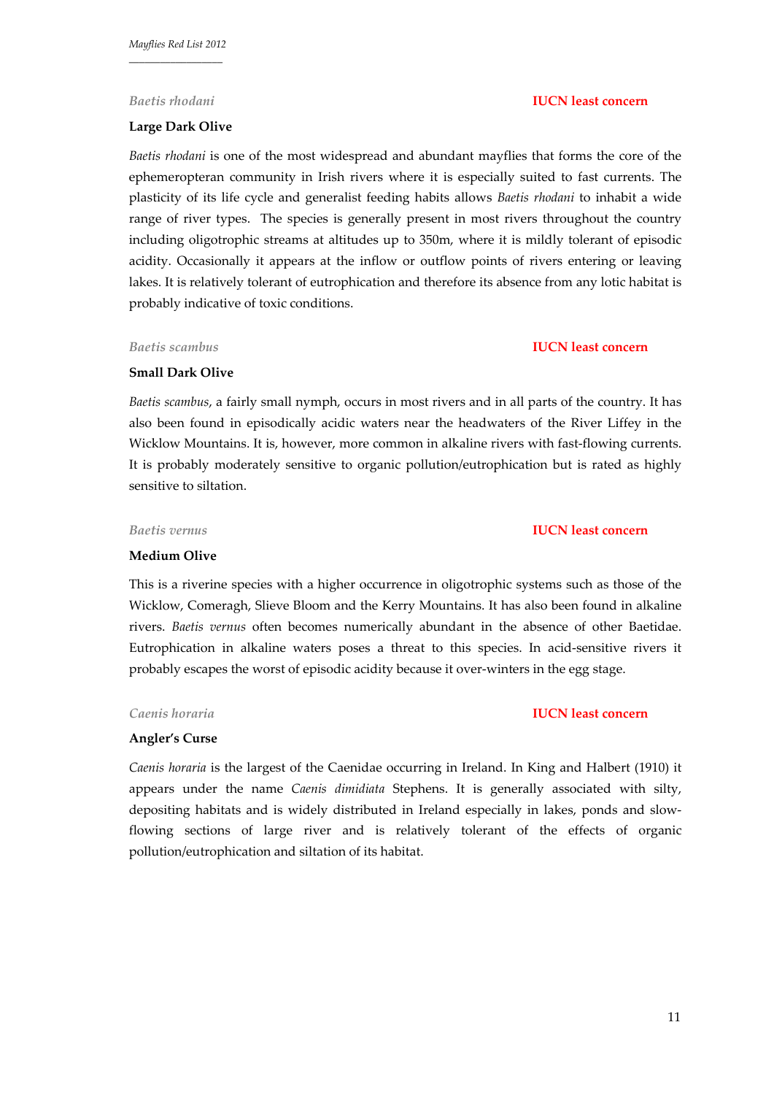#### **Large Dark Olive**

*Baetis rhodani* **IUCN least concern**

*Baetis rhodani* is one of the most widespread and abundant mayflies that forms the core of the ephemeropteran community in Irish rivers where it is especially suited to fast currents. The plasticity of its life cycle and generalist feeding habits allows *Baetis rhodani* to inhabit a wide range of river types. The species is generally present in most rivers throughout the country including oligotrophic streams at altitudes up to 350m, where it is mildly tolerant of episodic acidity. Occasionally it appears at the inflow or outflow points of rivers entering or leaving lakes. It is relatively tolerant of eutrophication and therefore its absence from any lotic habitat is probably indicative of toxic conditions.

#### **Small Dark Olive**

*Baetis scambus*, a fairly small nymph, occurs in most rivers and in all parts of the country. It has also been found in episodically acidic waters near the headwaters of the River Liffey in the Wicklow Mountains. It is, however, more common in alkaline rivers with fast-flowing currents. It is probably moderately sensitive to organic pollution/eutrophication but is rated as highly sensitive to siltation.

#### *Baetis vernus* **IUCN least concern**

### **Medium Olive**

This is a riverine species with a higher occurrence in oligotrophic systems such as those of the Wicklow, Comeragh, Slieve Bloom and the Kerry Mountains. It has also been found in alkaline rivers. *Baetis vernus* often becomes numerically abundant in the absence of other Baetidae. Eutrophication in alkaline waters poses a threat to this species. In acid-sensitive rivers it probably escapes the worst of episodic acidity because it over-winters in the egg stage.

#### *Caenis horaria* **IUCN least concern**

#### **Angler's Curse**

*Caenis horaria* is the largest of the Caenidae occurring in Ireland. In King and Halbert (1910) it appears under the name *Caenis dimidiata* Stephens. It is generally associated with silty, depositing habitats and is widely distributed in Ireland especially in lakes, ponds and slow‐ flowing sections of large river and is relatively tolerant of the effects of organic pollution/eutrophication and siltation of its habitat.

# *Baetis scambus* **IUCN least concern**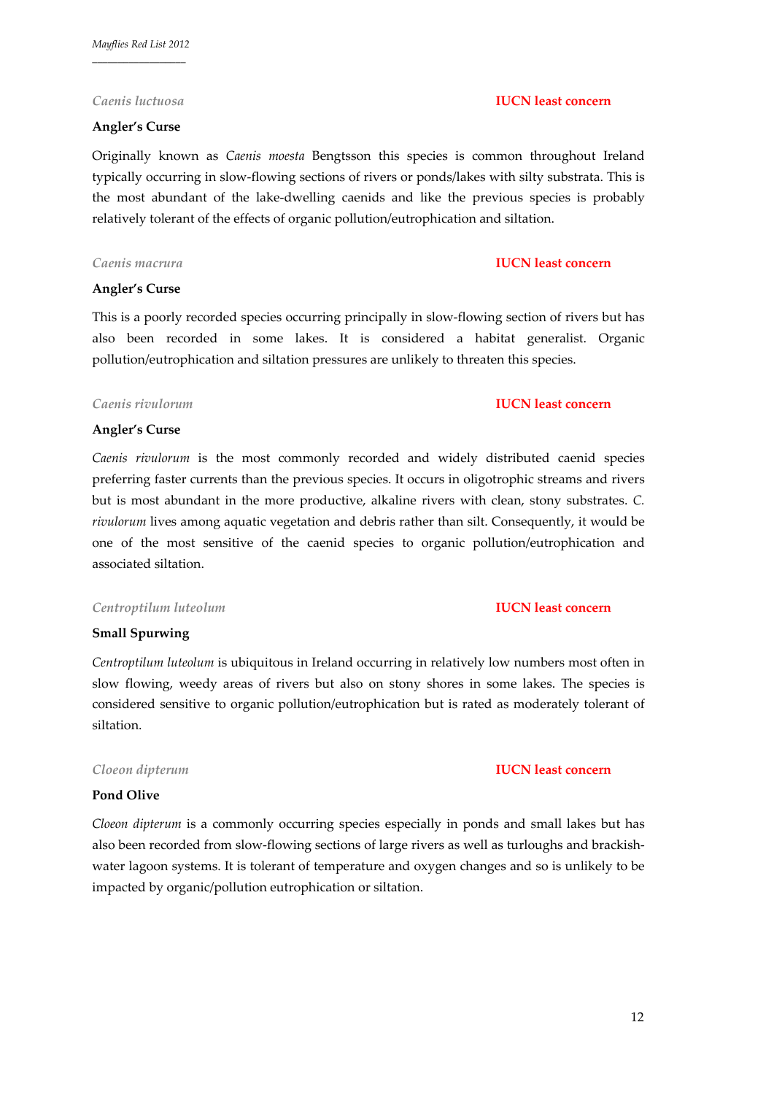# **Angler's Curse**

### *Caenis luctuosa* **IUCN least concern**

Originally known as *Caenis moesta* Bengtsson this species is common throughout Ireland typically occurring in slow‐flowing sections of rivers or ponds/lakes with silty substrata. This is the most abundant of the lake‐dwelling caenids and like the previous species is probably relatively tolerant of the effects of organic pollution/eutrophication and siltation.

# *Caenis macrura* **IUCN least concern**

# **Angler's Curse**

This is a poorly recorded species occurring principally in slow‐flowing section of rivers but has also been recorded in some lakes. It is considered a habitat generalist. Organic pollution/eutrophication and siltation pressures are unlikely to threaten this species.

# *Caenis rivulorum* **IUCN least concern**

### **Angler's Curse**

*Caenis rivulorum* is the most commonly recorded and widely distributed caenid species preferring faster currents than the previous species. It occurs in oligotrophic streams and rivers but is most abundant in the more productive, alkaline rivers with clean, stony substrates. *C. rivulorum* lives among aquatic vegetation and debris rather than silt. Consequently, it would be one of the most sensitive of the caenid species to organic pollution/eutrophication and associated siltation.

### *Centroptilum luteolum* **IUCN least concern**

# **Small Spurwing**

*Centroptilum luteolum* is ubiquitous in Ireland occurring in relatively low numbers most often in slow flowing, weedy areas of rivers but also on stony shores in some lakes. The species is considered sensitive to organic pollution/eutrophication but is rated as moderately tolerant of siltation.

### *Cloeon dipterum* **IUCN least concern**

# **Pond Olive**

*Cloeon dipterum* is a commonly occurring species especially in ponds and small lakes but has also been recorded from slow-flowing sections of large rivers as well as turloughs and brackishwater lagoon systems. It is tolerant of temperature and oxygen changes and so is unlikely to be impacted by organic/pollution eutrophication or siltation.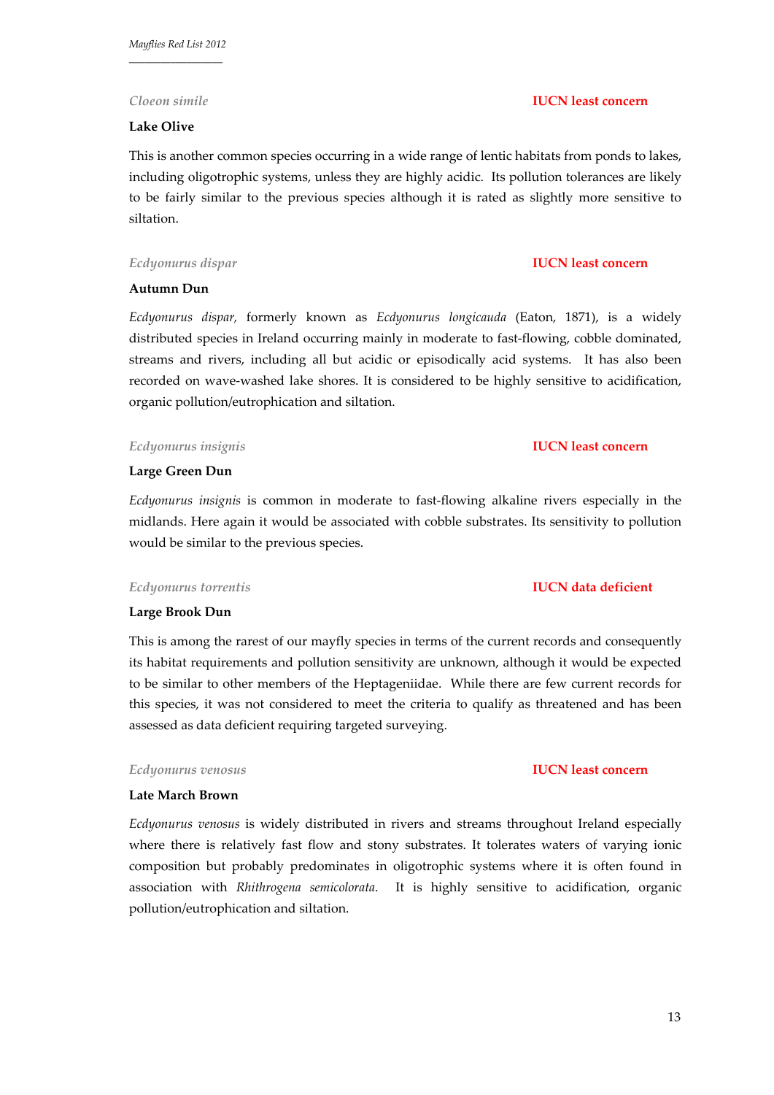### **Lake Olive**

This is another common species occurring in a wide range of lentic habitats from ponds to lakes, including oligotrophic systems, unless they are highly acidic. Its pollution tolerances are likely to be fairly similar to the previous species although it is rated as slightly more sensitive to siltation.

#### *Ecdyonurus dispar* **IUCN least concern**

### **Autumn Dun**

*Ecdyonurus dispar,* formerly known as *Ecdyonurus longicauda* (Eaton, 1871), is a widely distributed species in Ireland occurring mainly in moderate to fast-flowing, cobble dominated, streams and rivers, including all but acidic or episodically acid systems. It has also been recorded on wave‐washed lake shores. It is considered to be highly sensitive to acidification, organic pollution/eutrophication and siltation.

#### *Ecdyonurus insignis* **IUCN least concern**

### **Large Green Dun**

*Ecdyonurus insignis* is common in moderate to fast‐flowing alkaline rivers especially in the midlands. Here again it would be associated with cobble substrates. Its sensitivity to pollution would be similar to the previous species.

### *Ecdyonurus torrentis* **IUCN data deficient**

#### **Large Brook Dun**

This is among the rarest of our mayfly species in terms of the current records and consequently its habitat requirements and pollution sensitivity are unknown, although it would be expected to be similar to other members of the Heptageniidae. While there are few current records for this species, it was not considered to meet the criteria to qualify as threatened and has been assessed as data deficient requiring targeted surveying.

#### *Ecdyonurus venosus* **IUCN least concern**

# **Late March Brown**

*Ecdyonurus venosus* is widely distributed in rivers and streams throughout Ireland especially where there is relatively fast flow and stony substrates. It tolerates waters of varying ionic composition but probably predominates in oligotrophic systems where it is often found in association with *Rhithrogena semicolorata*. It is highly sensitive to acidification, organic pollution/eutrophication and siltation.

# *Cloeon simile* **IUCN least concern**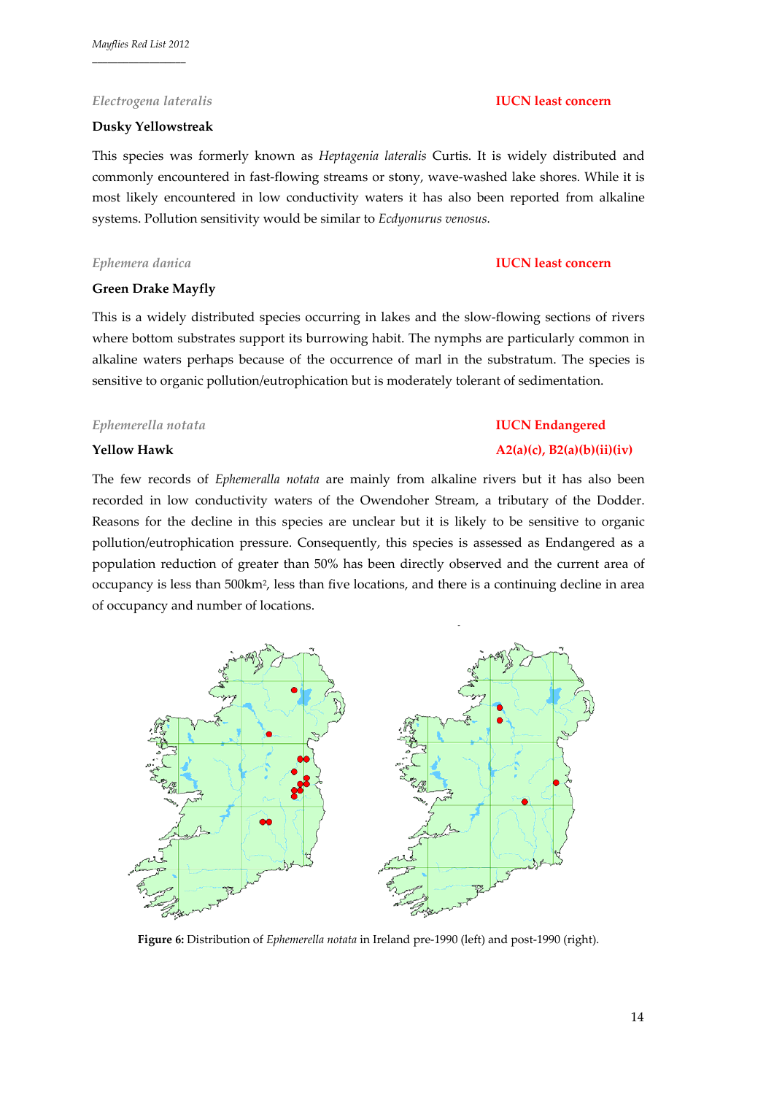# *Electrogena lateralis* **IUCN least concern**

# **Dusky Yellowstreak**

This species was formerly known as *Heptagenia lateralis* Curtis. It is widely distributed and commonly encountered in fast-flowing streams or stony, wave-washed lake shores. While it is most likely encountered in low conductivity waters it has also been reported from alkaline systems. Pollution sensitivity would be similar to *Ecdyonurus venosus.* 

# **Green Drake Mayfly**

This is a widely distributed species occurring in lakes and the slow‐flowing sections of rivers where bottom substrates support its burrowing habit. The nymphs are particularly common in alkaline waters perhaps because of the occurrence of marl in the substratum. The species is sensitive to organic pollution/eutrophication but is moderately tolerant of sedimentation.

# *Ephemerella notata* **IUCN Endangered**

# **Yellow Hawk A2(a)(c), B2(a)(b)(ii)(iv)**

The few records of *Ephemeralla notata* are mainly from alkaline rivers but it has also been recorded in low conductivity waters of the Owendoher Stream, a tributary of the Dodder. Reasons for the decline in this species are unclear but it is likely to be sensitive to organic pollution/eutrophication pressure. Consequently, this species is assessed as Endangered as a population reduction of greater than 50% has been directly observed and the current area of occupancy is less than 500km2, less than five locations, and there is a continuing decline in area of occupancy and number of locations.



**Figure 6:** Distribution of *Ephemerella notata* in Ireland pre‐1990 (left) and post‐1990 (right).

# *Ephemera danica* **IUCN least concern**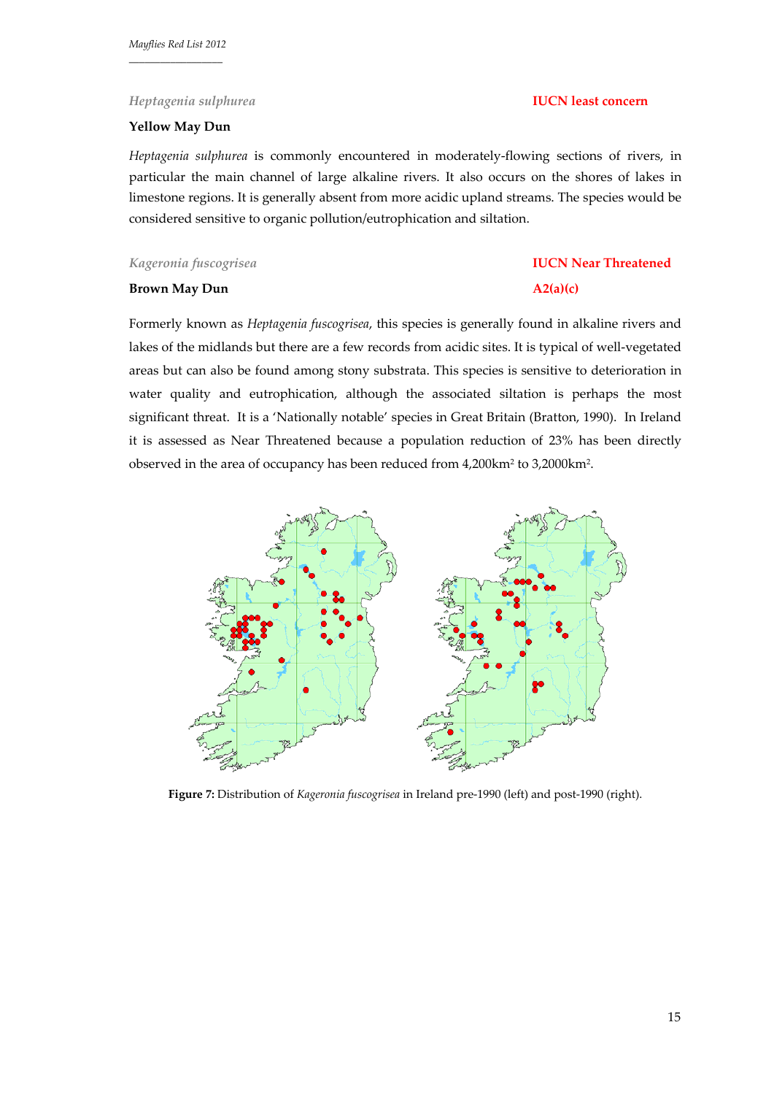### *Heptagenia sulphurea* **IUCN least concern**

### **Yellow May Dun**

*Heptagenia sulphurea* is commonly encountered in moderately‐flowing sections of rivers, in particular the main channel of large alkaline rivers. It also occurs on the shores of lakes in limestone regions. It is generally absent from more acidic upland streams. The species would be considered sensitive to organic pollution/eutrophication and siltation.

*Kageronia fuscogrisea* **IUCN Near Threatened**

#### **Brown May Dun A2(a)(c)**

Formerly known as *Heptagenia fuscogrisea*, this species is generally found in alkaline rivers and lakes of the midlands but there are a few records from acidic sites. It is typical of well‐vegetated areas but can also be found among stony substrata. This species is sensitive to deterioration in water quality and eutrophication, although the associated siltation is perhaps the most significant threat. It is a 'Nationally notable' species in Great Britain (Bratton, 1990). In Ireland it is assessed as Near Threatened because a population reduction of 23% has been directly observed in the area of occupancy has been reduced from 4,200km2 to 3,2000km2.



Figure 7: Distribution of *Kageronia fuscogrisea* in Ireland pre-1990 (left) and post-1990 (right).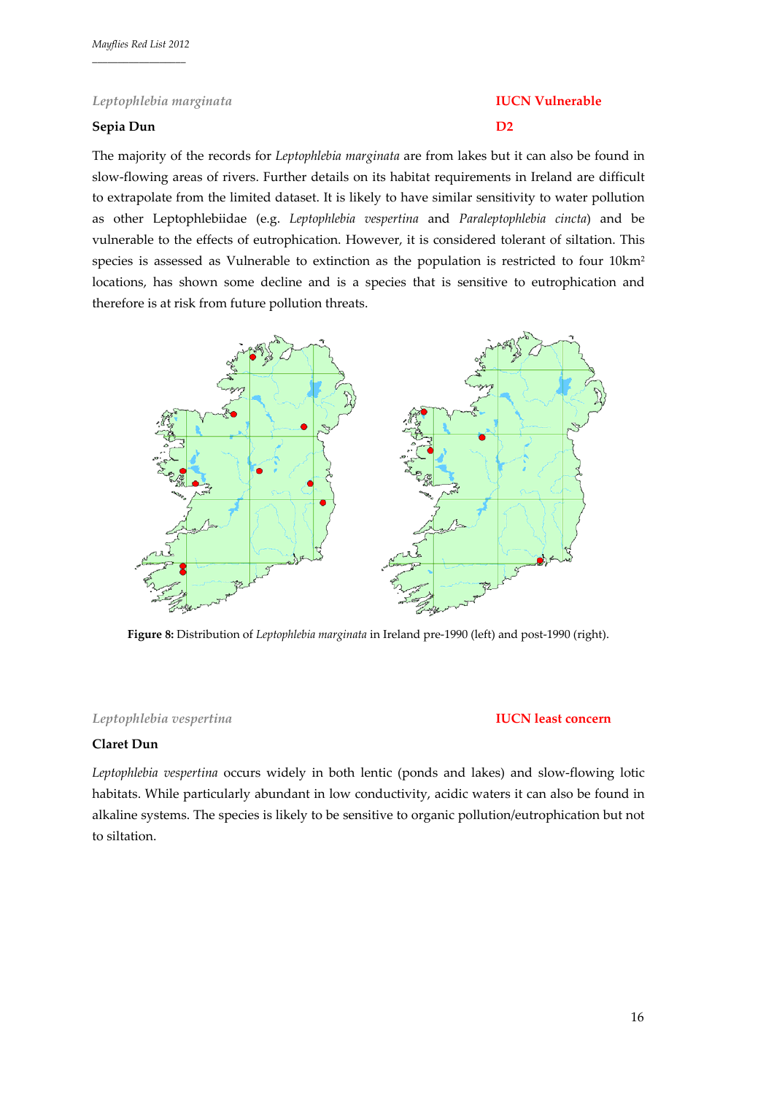# *Leptophlebia marginata* **IUCN Vulnerable**

# **Sepia Dun D2**

The majority of the records for *Leptophlebia marginata* are from lakes but it can also be found in slow‐flowing areas of rivers. Further details on its habitat requirements in Ireland are difficult to extrapolate from the limited dataset. It is likely to have similar sensitivity to water pollution as other Leptophlebiidae (e.g. *Leptophlebia vespertina* and *Paraleptophlebia cincta*) and be vulnerable to the effects of eutrophication. However, it is considered tolerant of siltation. This species is assessed as Vulnerable to extinction as the population is restricted to four 10km2 locations, has shown some decline and is a species that is sensitive to eutrophication and therefore is at risk from future pollution threats.



**Figure 8:** Distribution of *Leptophlebia marginata* in Ireland pre‐1990 (left) and post‐1990 (right).

### *Leptophlebia vespertina* **IUCN least concern**

#### **Claret Dun**

*Leptophlebia vespertina* occurs widely in both lentic (ponds and lakes) and slow‐flowing lotic habitats. While particularly abundant in low conductivity, acidic waters it can also be found in alkaline systems. The species is likely to be sensitive to organic pollution/eutrophication but not to siltation.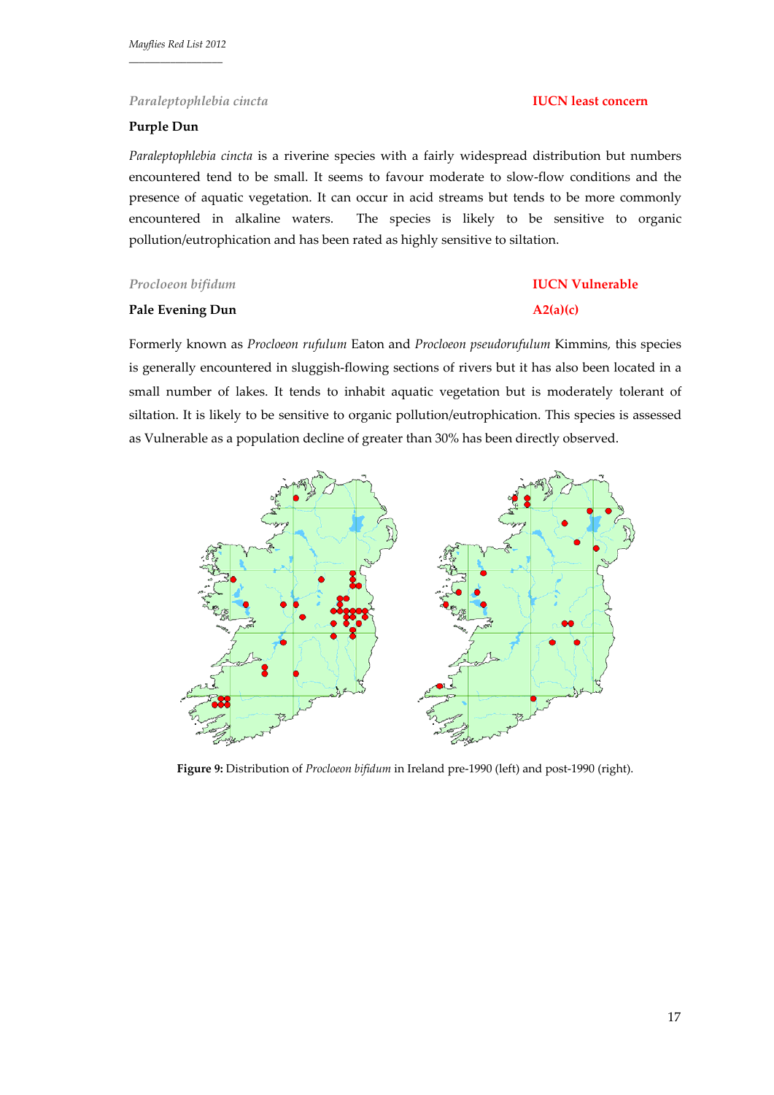# **Purple Dun**

*Paraleptophlebia cincta* is a riverine species with a fairly widespread distribution but numbers encountered tend to be small. It seems to favour moderate to slow‐flow conditions and the presence of aquatic vegetation. It can occur in acid streams but tends to be more commonly encountered in alkaline waters. The species is likely to be sensitive to organic pollution/eutrophication and has been rated as highly sensitive to siltation.

# *Procloeon bifidum* **IUCN Vulnerable**

### **Pale Evening Dun A2(a)(c)**

Formerly known as *Procloeon rufulum* Eaton and *Procloeon pseudorufulum* Kimmins*,* this species is generally encountered in sluggish‐flowing sections of rivers but it has also been located in a small number of lakes. It tends to inhabit aquatic vegetation but is moderately tolerant of siltation. It is likely to be sensitive to organic pollution/eutrophication. This species is assessed as Vulnerable as a population decline of greater than 30% has been directly observed.



**Figure 9:** Distribution of *Procloeon bifidum* in Ireland pre‐1990 (left) and post‐1990 (right).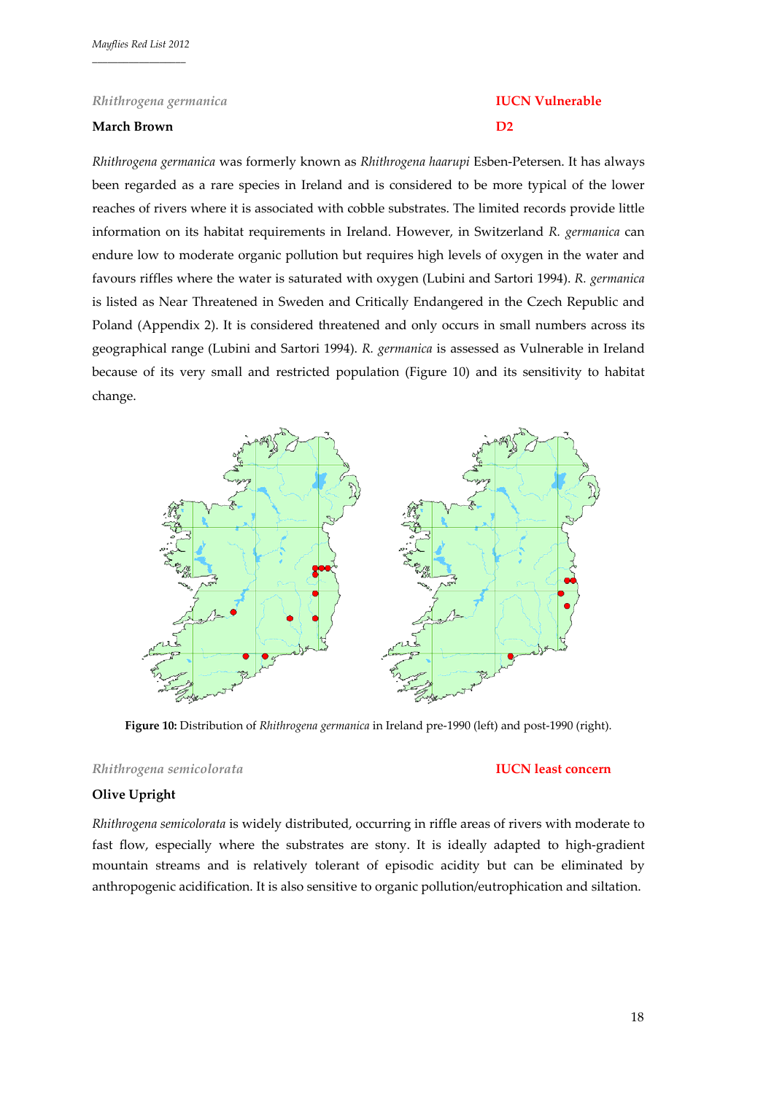#### *Rhithrogena germanica* **IUCN Vulnerable**

### **March Brown D2**

*Rhithrogena germanica* was formerly known as *Rhithrogena haarupi* Esben‐Petersen. It has always been regarded as a rare species in Ireland and is considered to be more typical of the lower reaches of rivers where it is associated with cobble substrates. The limited records provide little information on its habitat requirements in Ireland. However, in Switzerland *R. germanica* can endure low to moderate organic pollution but requires high levels of oxygen in the water and favours riffles where the water is saturated with oxygen (Lubini and Sartori 1994). *R. germanica* is listed as Near Threatened in Sweden and Critically Endangered in the Czech Republic and Poland (Appendix 2). It is considered threatened and only occurs in small numbers across its geographical range (Lubini and Sartori 1994). *R. germanica* is assessed as Vulnerable in Ireland because of its very small and restricted population (Figure 10) and its sensitivity to habitat change.



**Figure 10:** Distribution of *Rhithrogena germanica* in Ireland pre‐1990 (left) and post‐1990 (right).

### *Rhithrogena semicolorata* **IUCN least concern**

# **Olive Upright**

*Rhithrogena semicolorata* is widely distributed, occurring in riffle areas of rivers with moderate to fast flow, especially where the substrates are stony. It is ideally adapted to high‐gradient mountain streams and is relatively tolerant of episodic acidity but can be eliminated by anthropogenic acidification. It is also sensitive to organic pollution/eutrophication and siltation.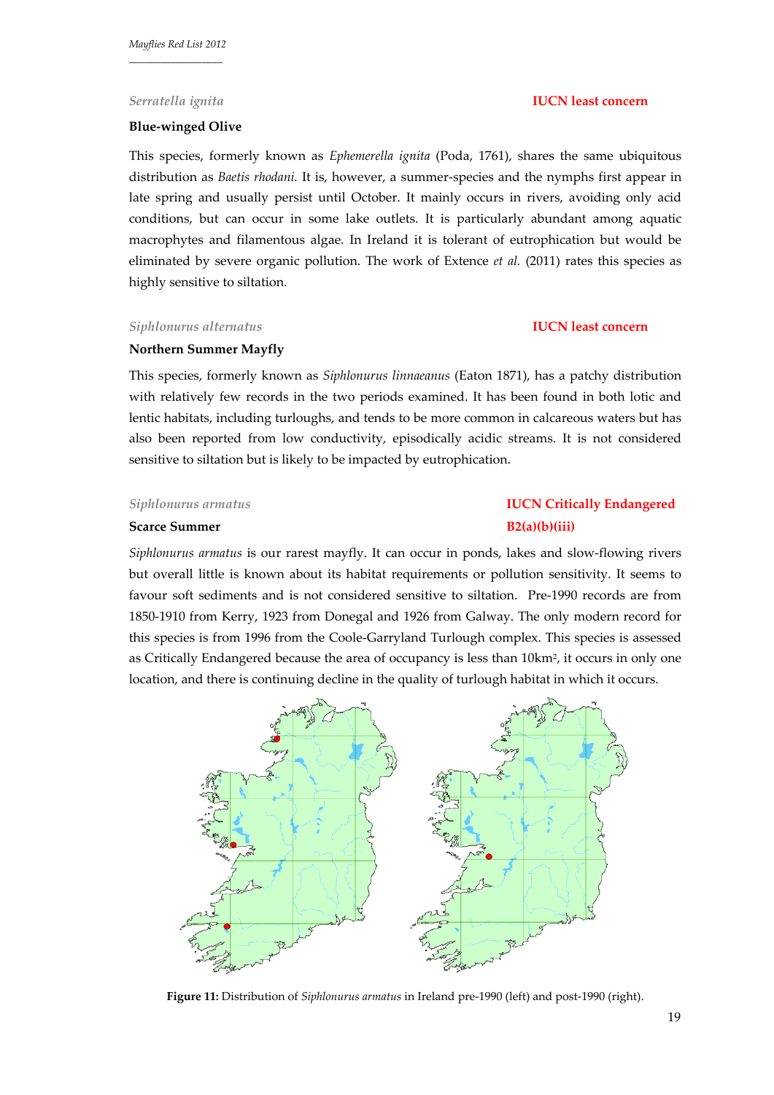#### **Blue‐winged Olive**

This species, formerly known as *Ephemerella ignita* (Poda, 1761), shares the same ubiquitous distribution as *Baetis rhodani.* It is, however, a summer‐species and the nymphs first appear in late spring and usually persist until October. It mainly occurs in rivers, avoiding only acid conditions, but can occur in some lake outlets. It is particularly abundant among aquatic macrophytes and filamentous algae. In Ireland it is tolerant of eutrophication but would be eliminated by severe organic pollution. The work of Extence *et al.* (2011) rates this species as highly sensitive to siltation.

### *Siphlonurus alternatus* **IUCN least concern**

# **Northern Summer Mayfly**

This species, formerly known as *Siphlonurus linnaeanus* (Eaton 1871), has a patchy distribution with relatively few records in the two periods examined. It has been found in both lotic and lentic habitats, including turloughs, and tends to be more common in calcareous waters but has also been reported from low conductivity, episodically acidic streams. It is not considered sensitive to siltation but is likely to be impacted by eutrophication.

### **Scarce Summer B2(a)(b)(iii)**

*Siphlonurus armatus* is our rarest mayfly. It can occur in ponds, lakes and slow‐flowing rivers but overall little is known about its habitat requirements or pollution sensitivity. It seems to favour soft sediments and is not considered sensitive to siltation. Pre-1990 records are from 1850‐1910 from Kerry, 1923 from Donegal and 1926 from Galway. The only modern record for this species is from 1996 from the Coole‐Garryland Turlough complex. This species is assessed as Critically Endangered because the area of occupancy is less than  $10 \text{km}^2$ , it occurs in only one location, and there is continuing decline in the quality of turlough habitat in which it occurs.



**Figure 11:** Distribution of *Siphlonurus armatus* in Ireland pre‐1990 (left) and post‐1990 (right).

#### *Serratella ignita* **IUCN least concern**

# *Siphlonurus armatus* **IUCN Critically Endangered**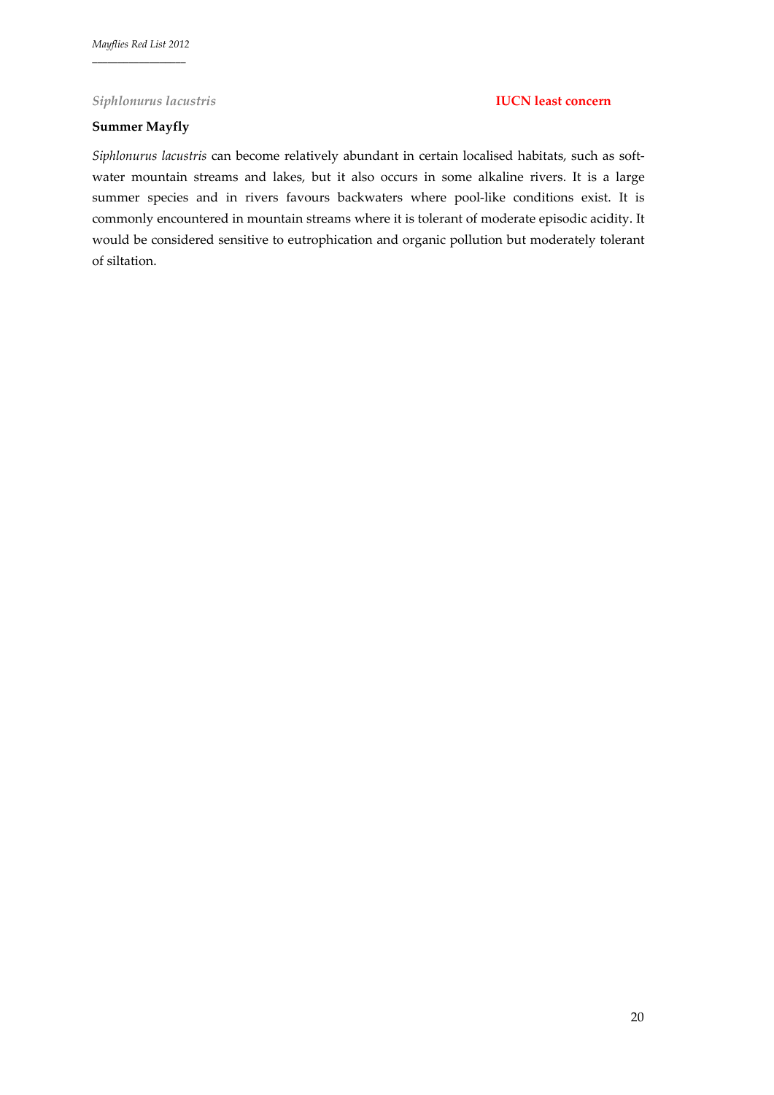### *Siphlonurus lacustris* **IUCN least concern**

# **Summer Mayfly**

*Siphlonurus lacustris* can become relatively abundant in certain localised habitats, such as soft‐ water mountain streams and lakes, but it also occurs in some alkaline rivers. It is a large summer species and in rivers favours backwaters where pool-like conditions exist. It is commonly encountered in mountain streams where it is tolerant of moderate episodic acidity. It would be considered sensitive to eutrophication and organic pollution but moderately tolerant of siltation.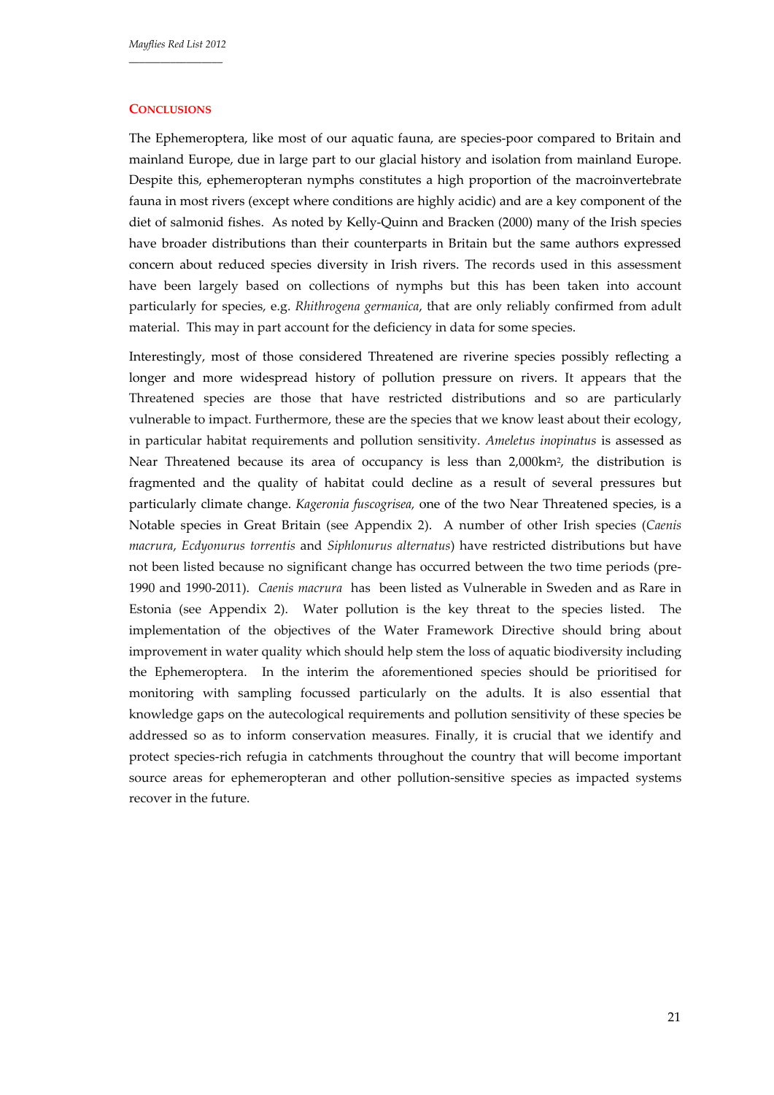### **CONCLUSIONS**

The Ephemeroptera, like most of our aquatic fauna, are species‐poor compared to Britain and mainland Europe, due in large part to our glacial history and isolation from mainland Europe. Despite this, ephemeropteran nymphs constitutes a high proportion of the macroinvertebrate fauna in most rivers (except where conditions are highly acidic) and are a key component of the diet of salmonid fishes. As noted by Kelly‐Quinn and Bracken (2000) many of the Irish species have broader distributions than their counterparts in Britain but the same authors expressed concern about reduced species diversity in Irish rivers. The records used in this assessment have been largely based on collections of nymphs but this has been taken into account particularly for species, e.g. *Rhithrogena germanica*, that are only reliably confirmed from adult material. This may in part account for the deficiency in data for some species.

Interestingly, most of those considered Threatened are riverine species possibly reflecting a longer and more widespread history of pollution pressure on rivers. It appears that the Threatened species are those that have restricted distributions and so are particularly vulnerable to impact. Furthermore, these are the species that we know least about their ecology, in particular habitat requirements and pollution sensitivity. *Ameletus inopinatus* is assessed as Near Threatened because its area of occupancy is less than 2,000km2, the distribution is fragmented and the quality of habitat could decline as a result of several pressures but particularly climate change. *Kageronia fuscogrisea,* one of the two Near Threatened species, is a Notable species in Great Britain (see Appendix 2). A number of other Irish species (*Caenis macrura*, *Ecdyonurus torrentis* and *Siphlonurus alternatus*) have restricted distributions but have not been listed because no significant change has occurred between the two time periods (pre-1990 and 1990‐2011). *Caenis macrura* has been listed as Vulnerable in Sweden and as Rare in Estonia (see Appendix 2). Water pollution is the key threat to the species listed. The implementation of the objectives of the Water Framework Directive should bring about improvement in water quality which should help stem the loss of aquatic biodiversity including the Ephemeroptera. In the interim the aforementioned species should be prioritised for monitoring with sampling focussed particularly on the adults. It is also essential that knowledge gaps on the autecological requirements and pollution sensitivity of these species be addressed so as to inform conservation measures. Finally, it is crucial that we identify and protect species‐rich refugia in catchments throughout the country that will become important source areas for ephemeropteran and other pollution-sensitive species as impacted systems recover in the future.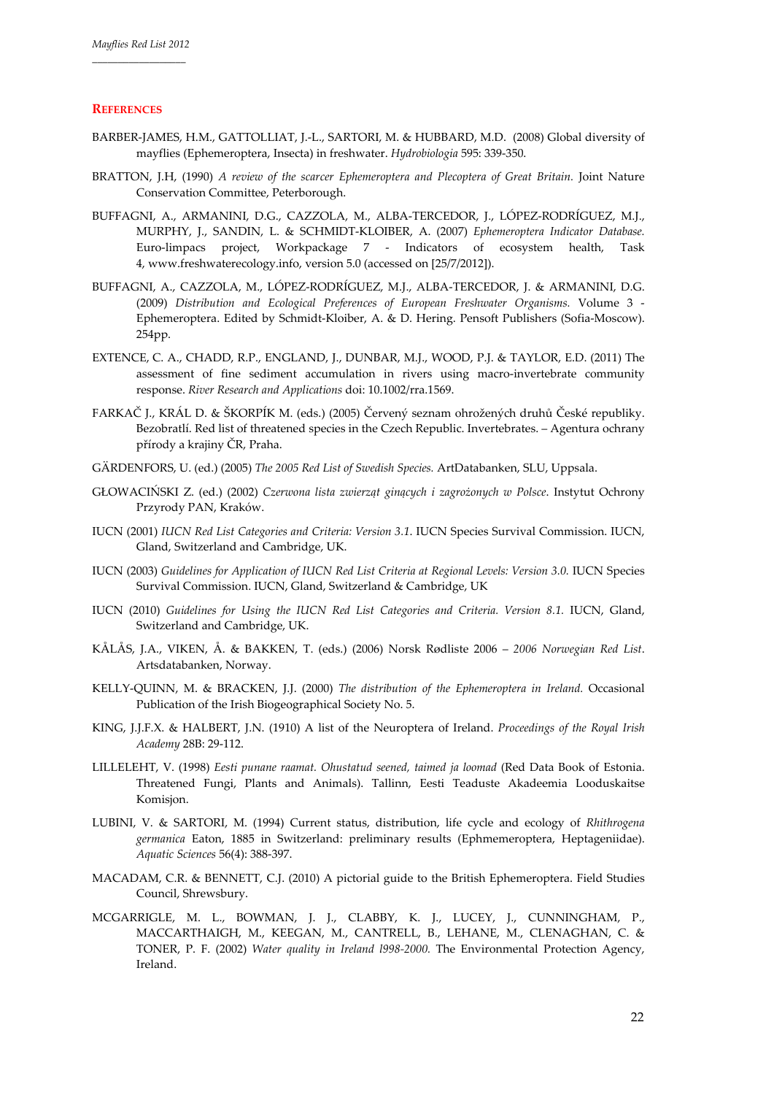### **REFERENCES**

- BARBER‐JAMES, H.M., GATTOLLIAT, J.‐L., SARTORI, M. & HUBBARD, M.D. (2008) Global diversity of mayflies (Ephemeroptera, Insecta) in freshwater. *Hydrobiologia* 595: 339‐350.
- BRATTON, J.H, (1990) *A review of the scarcer Ephemeroptera and Plecoptera of Great Britain.* Joint Nature Conservation Committee, Peterborough.
- BUFFAGNI, A., ARMANINI, D.G., CAZZOLA, M., ALBA‐TERCEDOR, J., LÓPEZ‐RODRÍGUEZ, M.J., MURPHY, J., SANDIN, L. & SCHMIDT‐KLOIBER, A. (2007) *Ephemeroptera Indicator Database.* Euro-limpacs project, Workpackage 7 - Indicators of ecosystem health, Task 4, www.freshwaterecology.info, version 5.0 (accessed on [25/7/2012]).
- BUFFAGNI, A., CAZZOLA, M., LÓPEZ‐RODRÍGUEZ, M.J., ALBA‐TERCEDOR, J. & ARMANINI, D.G. (2009) *Distribution and Ecological Preferences of European Freshwater Organisms.* Volume 3 ‐ Ephemeroptera. Edited by Schmidt‐Kloiber, A. & D. Hering. Pensoft Publishers (Sofia‐Moscow). 254pp.
- EXTENCE, C. A., CHADD, R.P., ENGLAND, J., DUNBAR, M.J., WOOD, P.J. & TAYLOR, E.D. (2011) The assessment of fine sediment accumulation in rivers using macro‐invertebrate community response. *River Research and Applications* doi: 10.1002/rra.1569.
- FARKAČ J., KRÁL D. & ŠKORPÍK M. (eds.) (2005) Červený seznam ohrožených druhů České republiky. Bezobratlí. Red list of threatened species in the Czech Republic. Invertebrates. – Agentura ochrany přírody a krajiny ČR, Praha.
- GÄRDENFORS, U. (ed.) (2005) *The 2005 Red List of Swedish Species.* ArtDatabanken, SLU, Uppsala.
- GŁOWACIŃSKI Z. (ed.) (2002) *Czerwona lista zwierząt ginących i zagrożonych w Polsce*. Instytut Ochrony Przyrody PAN, Kraków.
- IUCN (2001) *IUCN Red List Categories and Criteria: Version 3.1*. IUCN Species Survival Commission. IUCN, Gland, Switzerland and Cambridge, UK.
- IUCN (2003) *Guidelines for Application of IUCN Red List Criteria at Regional Levels: Version 3.0.* IUCN Species Survival Commission. IUCN, Gland, Switzerland & Cambridge, UK
- IUCN (2010) *Guidelines for Using the IUCN Red List Categories and Criteria. Version 8.1.* IUCN, Gland, Switzerland and Cambridge, UK.
- KÅLÅS, J.A., VIKEN, Å. & BAKKEN, T. (eds.) (2006) Norsk Rødliste 2006 *2006 Norwegian Red List*. Artsdatabanken, Norway.
- KELLY‐QUINN, M. & BRACKEN, J.J. (2000) *The distribution of the Ephemeroptera in Ireland.* Occasional Publication of the Irish Biogeographical Society No. 5.
- KING, J.J.F.X. & HALBERT, J.N. (1910) A list of the Neuroptera of Ireland. *Proceedings of the Royal Irish Academy* 28B: 29‐112.
- LILLELEHT, V. (1998) *Eesti punane raamat. Ohustatud seened, taimed ja loomad* (Red Data Book of Estonia. Threatened Fungi, Plants and Animals). Tallinn, Eesti Teaduste Akadeemia Looduskaitse Komisjon.
- LUBINI, V. & SARTORI, M. (1994) Current status, distribution, life cycle and ecology of *Rhithrogena germanica* Eaton, 1885 in Switzerland: preliminary results (Ephmemeroptera, Heptageniidae). *Aquatic Sciences* 56(4): 388‐397.
- MACADAM, C.R. & BENNETT, C.J. (2010) A pictorial guide to the British Ephemeroptera. Field Studies Council, Shrewsbury.
- MCGARRIGLE, M. L., BOWMAN, J. J., CLABBY, K. J., LUCEY, J., CUNNINGHAM, P., MACCARTHAIGH, M., KEEGAN, M., CANTRELL, B., LEHANE, M., CLENAGHAN, C. & TONER, P. F. (2002) *Water quality in Ireland l998‐2000.* The Environmental Protection Agency, Ireland.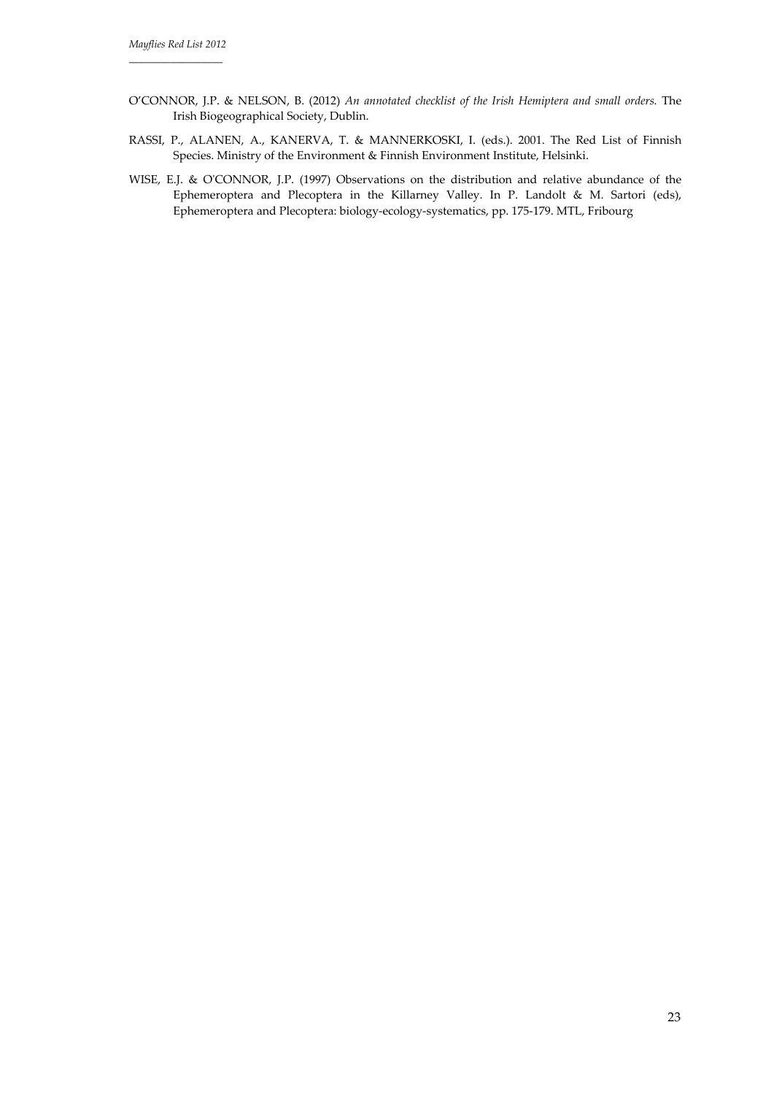- O'CONNOR, J.P. & NELSON, B. (2012) *An annotated checklist of the Irish Hemiptera and small orders.* The Irish Biogeographical Society, Dublin.
- RASSI, P., ALANEN, A., KANERVA, T. & MANNERKOSKI, I. (eds.). 2001. The Red List of Finnish Species. Ministry of the Environment & Finnish Environment Institute, Helsinki.
- WISE, E.J. & OʹCONNOR, J.P. (1997) Observations on the distribution and relative abundance of the Ephemeroptera and Plecoptera in the Killarney Valley. In P. Landolt & M. Sartori (eds), Ephemeroptera and Plecoptera: biology‐ecology‐systematics, pp. 175‐179. MTL, Fribourg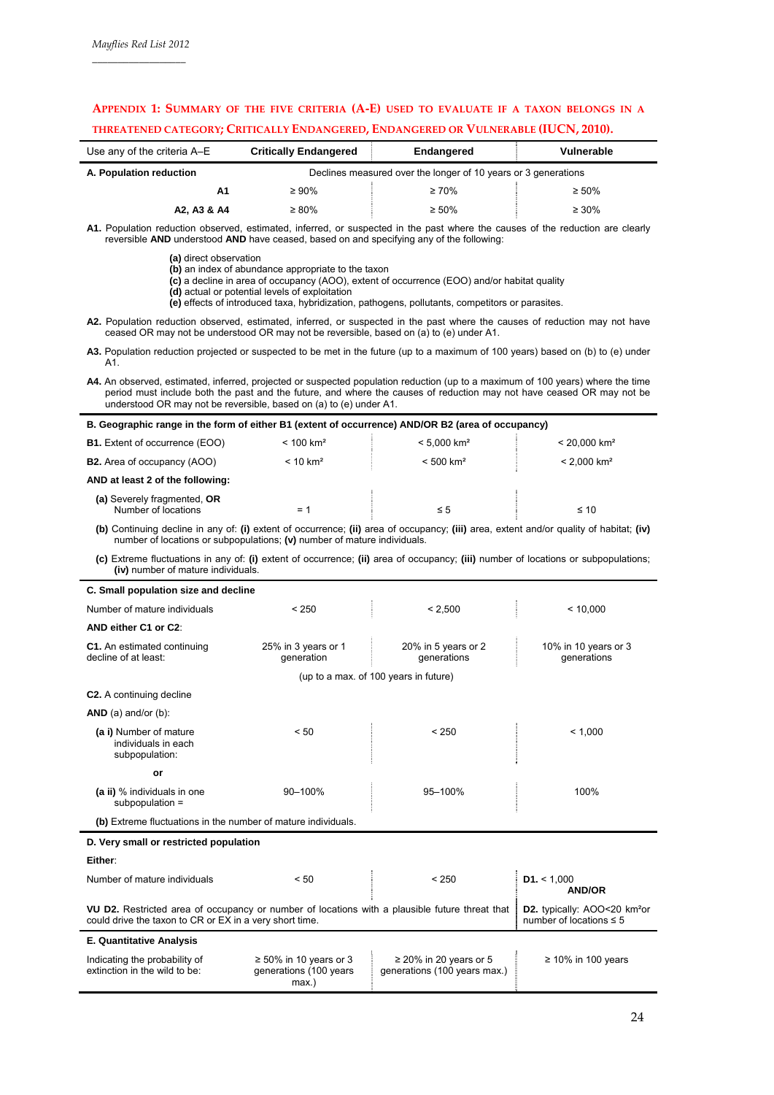# **APPENDIX 1: SUMMARY OF THE FIVE CRITERIA (A‐E) USED TO EVALUATE IF A TAXON BELONGS IN A THREATENED CATEGORY; CRITICALLY ENDANGERED, ENDANGERED OR VULNERABLE (IUCN, 2010).**

| Use any of the criteria A-E | <b>Critically Endangered</b><br>Endangered                     |             | Vulnerable  |  |  |
|-----------------------------|----------------------------------------------------------------|-------------|-------------|--|--|
| A. Population reduction     | Declines measured over the longer of 10 years or 3 generations |             |             |  |  |
| A1                          | $\geq 90\%$                                                    | $\geq 70\%$ | $\geq 50\%$ |  |  |
| A2. A3 & A4                 | $\geq 80\%$                                                    | $\geq 50\%$ | $\geq 30\%$ |  |  |

**A1.** Population reduction observed, estimated, inferred, or suspected in the past where the causes of the reduction are clearly reversible **AND** understood **AND** have ceased, based on and specifying any of the following:

- **(a)** direct observation
- **(b)** an index of abundance appropriate to the taxon
- **(c)** a decline in area of occupancy (AOO), extent of occurrence (EOO) and/or habitat quality
- **(d)** actual or potential levels of exploitation **(e)** effects of introduced taxa, hybridization, pathogens, pollutants, competitors or parasites.

**A2.** Population reduction observed, estimated, inferred, or suspected in the past where the causes of reduction may not have ceased OR may not be understood OR may not be reversible, based on (a) to (e) under A1.

- **A3.** Population reduction projected or suspected to be met in the future (up to a maximum of 100 years) based on (b) to (e) under A1.
- **A4.** An observed, estimated, inferred, projected or suspected population reduction (up to a maximum of 100 years) where the time period must include both the past and the future, and where the causes of reduction may not have ceased OR may not be understood OR may not be reversible, based on (a) to (e) under A1.

| B. Geographic range in the form of either B1 (extent of occurrence) AND/OR B2 (area of occupancy) |                         |                           |                            |  |  |  |  |  |
|---------------------------------------------------------------------------------------------------|-------------------------|---------------------------|----------------------------|--|--|--|--|--|
| <b>B1.</b> Extent of occurrence (EOO)                                                             | $< 100$ km <sup>2</sup> | $< 5.000$ km <sup>2</sup> | $< 20.000$ km <sup>2</sup> |  |  |  |  |  |
| <b>B2.</b> Area of occupancy (AOO)                                                                | < 10 km <sup>2</sup>    | $< 500$ km <sup>2</sup>   | $< 2.000$ km <sup>2</sup>  |  |  |  |  |  |
| AND at least 2 of the following:                                                                  |                         |                           |                            |  |  |  |  |  |
| (a) Severely fragmented, OR<br>Number of locations                                                | = 1                     | ≤ 5                       | $\leq 10$                  |  |  |  |  |  |

**(b)** Continuing decline in any of: **(i)** extent of occurrence; **(ii)** area of occupancy; **(iii)** area, extent and/or quality of habitat; **(iv)**  number of locations or subpopulations; **(v)** number of mature individuals.

**(c)** Extreme fluctuations in any of: **(i)** extent of occurrence; **(ii)** area of occupancy; **(iii)** number of locations or subpopulations; **(iv)** number of mature individuals.

| C. Small population size and decline                                                                                                                      |                                                                 |                                                             |                                                                          |
|-----------------------------------------------------------------------------------------------------------------------------------------------------------|-----------------------------------------------------------------|-------------------------------------------------------------|--------------------------------------------------------------------------|
| Number of mature individuals                                                                                                                              | < 250                                                           | < 2.500                                                     | < 10.000                                                                 |
| AND either C1 or C2:                                                                                                                                      |                                                                 |                                                             |                                                                          |
| C1. An estimated continuing<br>decline of at least:                                                                                                       | 25% in 3 years or 1<br>generation                               | 20% in 5 years or 2<br>generations                          | 10% in 10 years or 3<br>generations                                      |
|                                                                                                                                                           |                                                                 | (up to a max. of 100 years in future)                       |                                                                          |
| <b>C2.</b> A continuing decline                                                                                                                           |                                                                 |                                                             |                                                                          |
| $AND$ (a) and/or (b):                                                                                                                                     |                                                                 |                                                             |                                                                          |
| (a i) Number of mature<br>individuals in each<br>subpopulation:                                                                                           | < 50                                                            | < 250                                                       | < 1.000                                                                  |
| or                                                                                                                                                        |                                                                 |                                                             |                                                                          |
| (a ii) % individuals in one<br>subpopulation =                                                                                                            | 90-100%                                                         | 95-100%                                                     | 100%                                                                     |
| (b) Extreme fluctuations in the number of mature individuals.                                                                                             |                                                                 |                                                             |                                                                          |
| D. Very small or restricted population                                                                                                                    |                                                                 |                                                             |                                                                          |
| Either:                                                                                                                                                   |                                                                 |                                                             |                                                                          |
| Number of mature individuals                                                                                                                              | < 50                                                            | < 250                                                       | D1. < 1,000<br><b>AND/OR</b>                                             |
| VU D2. Restricted area of occupancy or number of locations with a plausible future threat that<br>could drive the taxon to CR or EX in a very short time. |                                                                 |                                                             | D2. typically: AOO<20 km <sup>2</sup> or<br>number of locations $\leq 5$ |
| <b>E. Quantitative Analysis</b>                                                                                                                           |                                                                 |                                                             |                                                                          |
| Indicating the probability of<br>extinction in the wild to be:                                                                                            | $\geq 50\%$ in 10 years or 3<br>generations (100 years<br>max.) | $\geq$ 20% in 20 years or 5<br>generations (100 years max.) | $\geq 10\%$ in 100 years                                                 |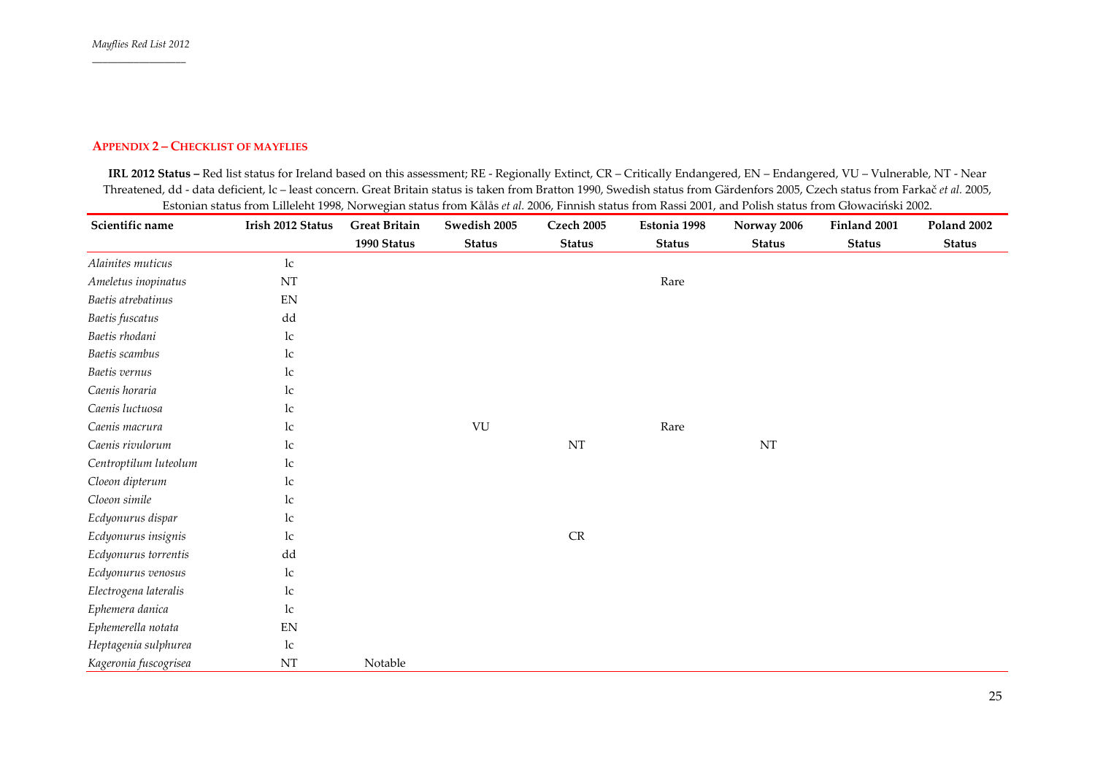#### **APPENDIX 2 – CHECKLIST OF MAYFLIES**

**IRL 2012 Status –** Red list status for Ireland based on this assessment; RE ‐ Regionally Extinct, CR – Critically Endangered, EN – Endangered, VU – Vulnerable, NT ‐ Near Threatened, dd ‐ data deficient, lc – least concern. Great Britain status is taken from Bratton 1990, Swedish status from Gärdenfors 2005, Czech status from Farkač *et al.* 2005, Estonian status from Lilleleht 1998, Norwegian status from Kålås *et al.* 2006, Finnish status from Rassi 2001, and Polish status from Głowaciński 2002.

| Scientific name       | Irish 2012 Status          | <b>Great Britain</b> | Swedish 2005  | <b>Czech 2005</b> | Estonia 1998  | Norway 2006   | Finland 2001  | Poland 2002   |
|-----------------------|----------------------------|----------------------|---------------|-------------------|---------------|---------------|---------------|---------------|
|                       |                            | 1990 Status          | <b>Status</b> | <b>Status</b>     | <b>Status</b> | <b>Status</b> | <b>Status</b> | <b>Status</b> |
| Alainites muticus     | lc                         |                      |               |                   |               |               |               |               |
| Ameletus inopinatus   | NT                         |                      |               |                   | Rare          |               |               |               |
| Baetis atrebatinus    | EN                         |                      |               |                   |               |               |               |               |
| Baetis fuscatus       | dd                         |                      |               |                   |               |               |               |               |
| Baetis rhodani        | lc                         |                      |               |                   |               |               |               |               |
| Baetis scambus        | lc                         |                      |               |                   |               |               |               |               |
| Baetis vernus         | lc                         |                      |               |                   |               |               |               |               |
| Caenis horaria        | lc                         |                      |               |                   |               |               |               |               |
| Caenis luctuosa       | 1c                         |                      |               |                   |               |               |               |               |
| Caenis macrura        | 1c                         |                      | VU            |                   | Rare          |               |               |               |
| Caenis rivulorum      | lc                         |                      |               | $\rm{NT}$         |               | $\rm{NT}$     |               |               |
| Centroptilum luteolum | lc                         |                      |               |                   |               |               |               |               |
| Cloeon dipterum       | lc                         |                      |               |                   |               |               |               |               |
| Cloeon simile         | lc                         |                      |               |                   |               |               |               |               |
| Ecdyonurus dispar     | 1c                         |                      |               |                   |               |               |               |               |
| Ecdyonurus insignis   | lc                         |                      |               | $\mathsf{CR}$     |               |               |               |               |
| Ecdyonurus torrentis  | dd                         |                      |               |                   |               |               |               |               |
| Ecdyonurus venosus    | lc                         |                      |               |                   |               |               |               |               |
| Electrogena lateralis | lc                         |                      |               |                   |               |               |               |               |
| Ephemera danica       | lc                         |                      |               |                   |               |               |               |               |
| Ephemerella notata    | $\mathop{\rm EN}\nolimits$ |                      |               |                   |               |               |               |               |
| Heptagenia sulphurea  | lc                         |                      |               |                   |               |               |               |               |
| Kageronia fuscogrisea | NT                         | Notable              |               |                   |               |               |               |               |